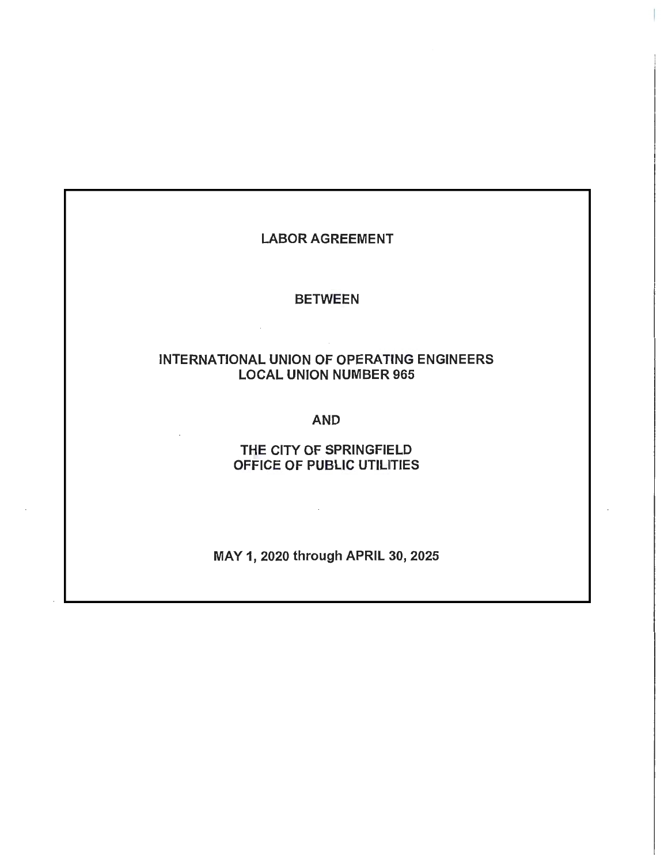## LABOR AGREEMENT

### BETWEEN

 $\mathcal{L}^{\mathcal{L}}$  and  $\mathcal{L}^{\mathcal{L}}$ 

# INTERNATIONAL UNION OF OPERATING ENGINEERS LOCAL UNION NUMBER 965

### AND

# THE CITY OF SPRINGFIELD OFFICE OF PUBLIC UTILITIES

MAY 1, 2020 through APRIL 30, 2025 .

 $\sim 10^7$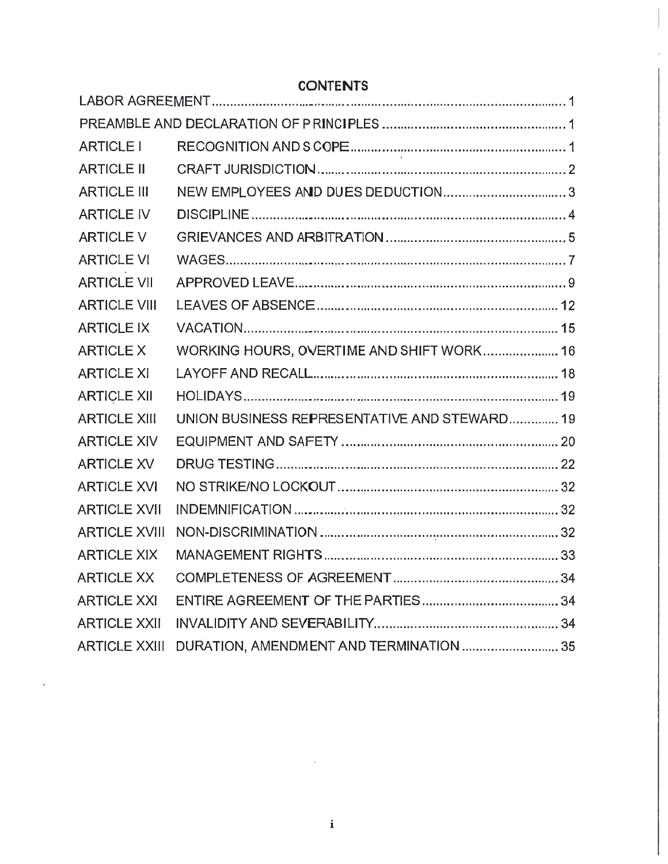| <b>ARTICLE I</b>     |                                              |
|----------------------|----------------------------------------------|
| <b>ARTICLE II</b>    |                                              |
| <b>ARTICLE III</b>   | NEW EMPLOYEES AND DUES DEDUCTION3            |
| <b>ARTICLE IV</b>    |                                              |
| <b>ARTICLE V</b>     |                                              |
| <b>ARTICLE VI</b>    |                                              |
| <b>ARTICLE VII</b>   |                                              |
| <b>ARTICLE VIII</b>  |                                              |
| <b>ARTICLE IX</b>    |                                              |
| <b>ARTICLE X</b>     | WORKING HOURS, OVERTIME AND SHIFT WORK 16    |
| <b>ARTICLE XI</b>    |                                              |
| <b>ARTICLE XII</b>   |                                              |
| <b>ARTICLE XIII</b>  | UNION BUSINESS REPRESENTATIVE AND STEWARD 19 |
| <b>ARTICLE XIV</b>   |                                              |
| <b>ARTICLE XV</b>    |                                              |
| <b>ARTICLE XVI</b>   |                                              |
| <b>ARTICLE XVII</b>  |                                              |
| <b>ARTICLE XVIII</b> |                                              |
| <b>ARTICLE XIX</b>   |                                              |
| <b>ARTICLE XX</b>    |                                              |
| <b>ARTICLE XXI</b>   |                                              |
| <b>ARTICLE XXII</b>  |                                              |
| <b>ARTICLE XXIII</b> | DURATION, AMENDMENT AND TERMINATION  35      |

# **CONTENTS**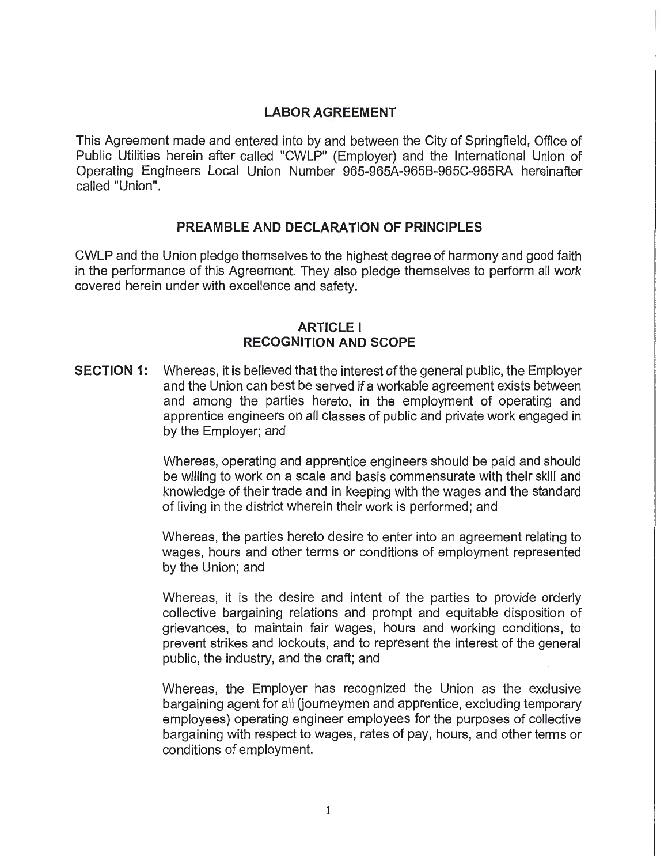# **LABOR AGREEMENT**

This Agreement made and entered into by and between the City of Springfield, Office of Public Utilities herein after called "CWLP" (Employer) and the International Union of Operating Engineers Local Union Number 965-965A-9658-965C-965RA hereinafter called "Union".

## **PREAMBLE AND DECLARATION OF PRINCIPLES**

CWLP and the Union pledge themselves to the highest degree of harmony and good faith in the performance of this Agreement. They also pledge themselves to perform all work covered herein under with excellence and safety.

## **ARTICLE** I **RECOGNITION AND SCOPE**

**SECTION 1:** Whereas, it is believed that the interest of the general public, the Employer and the Union can best be served if a workable agreement exists between and among the parties hereto, in the employment of operating and apprentice engineers on all classes of public and private work engaged in by the Employer; and

> Whereas, operating and apprentice engineers should be paid and should be willing to work on a scale and basis commensurate with their skill and knowledge of their trade and in keeping with the wages and the standard of living in the district wherein their work is performed; and

> Whereas, the parties hereto desire to enter into an agreement relating to wages, hours and other terms or conditions of employment represented by the Union; and

> Whereas, it is the desire and intent of the parties to provide orderly collective bargaining relations and prompt and equitable disposition of grievances, to maintain fair wages, hours and working conditions, to prevent strikes and lockouts, and to represent the interest of the general public, the industry, and the craft; and

> Whereas, the Employer has recognized the Union as the exclusive bargaining agent for all (journeymen and apprentice, excluding temporary employees) operating engineer employees for the purposes of collective bargaining with respect to wages, rates of pay, hours, and other terms or conditions of employment.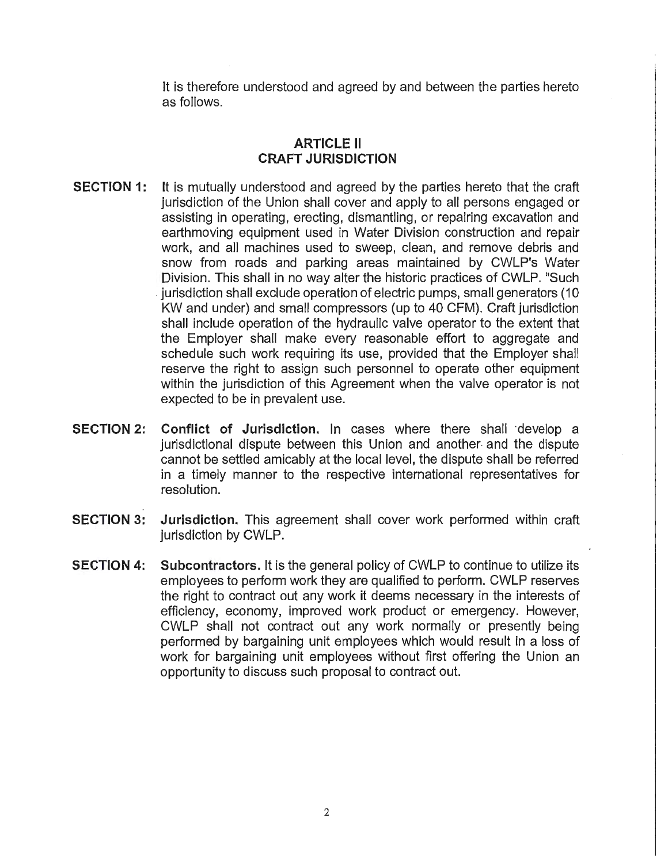It is therefore understood and agreed by and between the parties hereto as follows.

### **ARTICLE II CRAFT JURISDICTION**

- **SECTION 1:** It is mutually understood and agreed by the parties hereto that the craft jurisdiction of the Union shall cover and apply to all persons engaged or assisting in operating, erecting, dismantling, or repairing excavation and earthmoving equipment used in Water Division construction and repair work, and all machines used to sweep, clean, and remove debris and snow from roads and parking areas maintained by CWLP's Water Division. This shall in no way alter the historic practices of CWLP. "Such . jurisdiction shall exclude operation of electric pumps, small generators (10 KW and under) and small compressors (up to 40 CFM). Craft jurisdiction shall include operation of the hydraulic valve operator to the extent that the Employer shall make every reasonable effort to aggregate and schedule such work requiring its use, provided that the Employer shall reserve the right to assign such personnel to operate other equipment within the jurisdiction of this Agreement when the valve operator is not expected to be in prevalent use.
- **SECTION 2: Conflict of Jurisdiction.** In cases where there shall ·develop a jurisdictional dispute between this Union and another and the dispute cannot be settled amicably at the local level, the dispute shall be referred in a timely manner to the respective international representatives for resolution.
- **SECTION 3: Jurisdiction.** This agreement shall cover work performed within craft iurisdiction by CWLP.
- **SECTION 4: Subcontractors.** It is the general policy of CWLP to continue to utilize its employees to perform work they are qualified to perform. CWLP reserves the right to contract out any work it deems necessary in the interests of efficiency, economy, improved work product or emergency. However, CWLP shall not contract out any work normally or presently being performed by bargaining unit employees which would result in a loss of work for bargaining unit employees without first offering the Union an opportunity to discuss such proposal to contract out.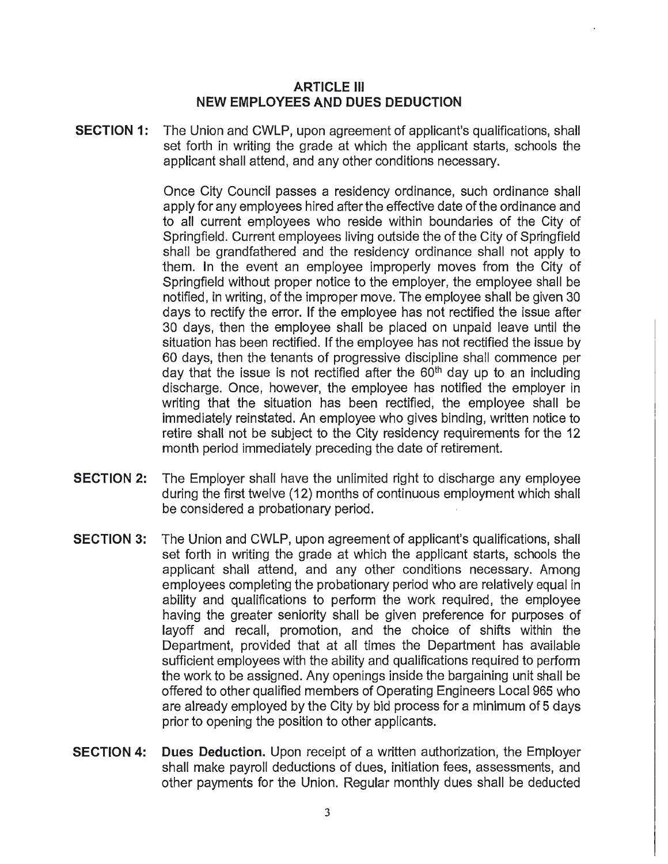### **ARTICLE** Ill **NEW EMPLOYEES AND DUES DEDUCTION**

**SECTION 1:** The Union and CWLP, upon agreement of applicant's qualifications, shall set forth in writing the grade at which the applicant starts, schools the applicant shall attend, and any other conditions necessary.

> Once City Council passes a residency ordinance, such ordinance shall apply for any employees hired after the effective date of the ordinance and to all current employees who reside within boundaries of the City of Springfield. Current employees living outside the of the City of Springfield shall be grandfathered and the residency ordinance shall not apply to them. In the event an employee improperly moves from the City of Springfield without proper notice to the employer, the employee shall be notified, in writing, of the improper move. The employee shall be given 30 days to rectify the error. If the employee has not rectified the issue after 30 days, then the employee shall be placed on unpaid leave until the situation has been rectified. If the employee has not rectified the issue by 60 days, then the tenants of progressive discipline shall commence per day that the issue is not rectified after the 60<sup>th</sup> day up to an including discharge. Once, however, the employee has notified the employer in writing that the situation has been rectified, the employee shall be immediately reinstated. An employee who gives binding, written notice to retire shall not be subject to the City residency requirements for the 12 month period immediately preceding the date of retirement.

- **SECTION 2:** The Employer shall have the unlimited right to discharge any employee during the first twelve (12) months of continuous employment which shall be considered a probationary period.
- **SECTION 3:** The Union and CWLP, upon agreement of applicant's qualifications, shall set forth in writing the grade at which the applicant starts, schools the applicant shall attend, and any other conditions necessary. Among employees completing the probationary period who are relatively equal in ability and qualifications to perform the work required, the employee having the greater seniority shall be given preference for purposes of layoff and recall, promotion, and the choice of shifts within the Department, provided that at all times the Department has available sufficient employees with the ability and qualifications required to perform the work to be assigned. Any openings inside the bargaining unit shall be offered to other qualified members of Operating Engineers Local 965 who are already employed by the City by bid process for a minimum of 5 days prior to opening the position to other applicants.
- **SECTION 4: Dues Deduction.** Upon receipt of a written authorization, the Employer shall make payroll deductions of dues, initiation fees, assessments, and other payments for the Union. Regular monthly dues shall be deducted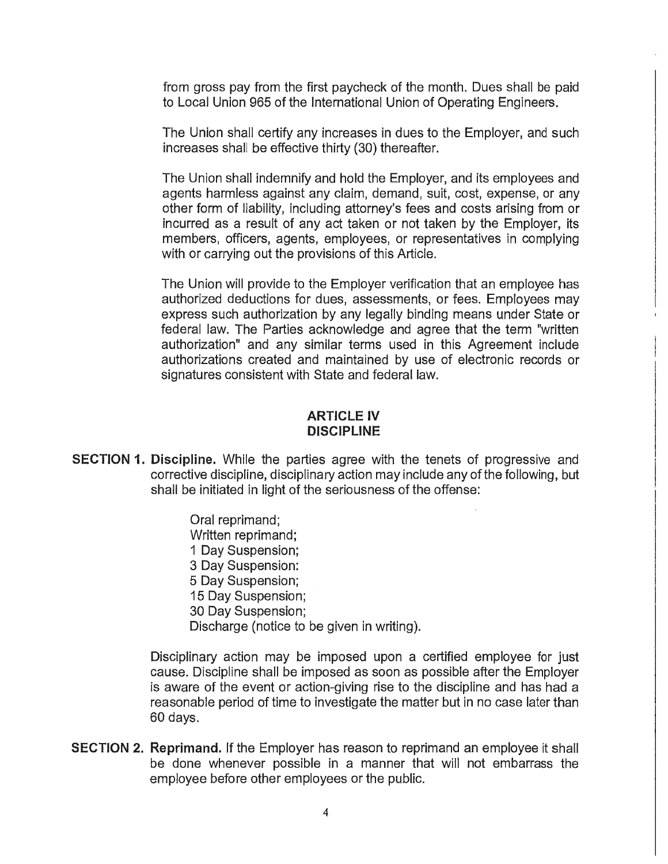from gross pay from the first paycheck of the month. Dues shall be paid to Local Union 965 of the International Union of Operating Engineers.

The Union shall certify any increases in dues to the Employer, and such increases shall be effective thirty (30) thereafter.

The Union shall indemnify and hold the Employer, and its employees and agents harmless against any claim, demand, suit, cost, expense, or any other form of liability, including attorney's fees and costs arising from or incurred as a result of any act taken or not taken by the Employer, its members, officers, agents, employees, or representatives in complying with or carrying out the provisions of this Article.

The Union will provide to the Employer verification that an employee has authorized deductions for dues, assessments, or fees. Employees may express such authorization by any legally binding means under State or federal law. The Parties acknowledge and agree that the term "written authorization" and any similar terms used in this Agreement include authorizations created and maintained by use of electronic records or signatures consistent with State and federal law.

### **ARTICLE IV DISCIPLINE**

**SECTION 1. Discipline.** While the parties agree with the tenets of progressive and corrective discipline, disciplinary action may include any of the following, but shall be initiated in light of the seriousness of the offense:

> Oral reprimand; Written reprimand; 1 Day Suspension; 3 Day Suspension: 5 Day Suspension; 15 Day Suspension; 30 Day Suspension; Discharge (notice to be given in writing).

Disciplinary action may be imposed upon a certified employee for just cause. Discipline shall be imposed as soon as possible after the Employer is aware of the event or action-giving rise to the discipline and has had a reasonable period of time to investigate the matter but in no case later than 60 days.

**SECTION 2. Reprimand.** If the Employer has reason to reprimand an employee it shall be done whenever possible in a manner that will not embarrass the employee before other employees or the public.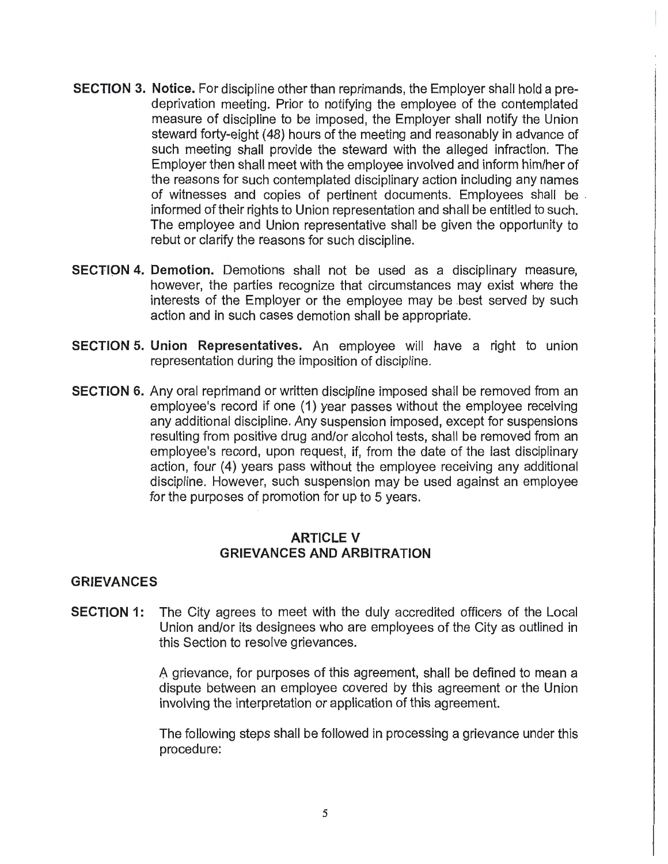- **SECTION 3. Notice.** For discipline other than reprimands, the Employer shall hold a predeprivation meeting. Prior to notifying the employee of the contemplated measure of discipline to be imposed, the Employer shall notify the Union steward forty-eight ( 48) hours of the meeting and reasonably in advance of such meeting shall provide the steward with the alleged infraction. The Employer then shall meet with the employee involved and inform him/her of the reasons for such contemplated disciplinary action including any names of witnesses and copies of pertinent documents. Employees shall be . informed of their rights to Union representation and shall be entitled to such. The employee and Union representative shall be given the opportunity to rebut or clarify the reasons for such discipline.
- **SECTION 4. Demotion.** Demotions shall not be used as a disciplinary measure, however, the parties recognize that circumstances may exist where the interests of the Employer or the employee may be best served by such action and in such cases demotion shall be appropriate.
- **SECTION 5. Union Representatives.** An employee will have a right to union representation during the imposition of discipline.
- **SECTION 6.** Any oral reprimand or written discipline imposed shall be removed from an employee's record if one (1) year passes without the employee receiving any additional discipline. Any suspension imposed, except for suspensions resulting from positive drug and/or alcohol tests, shall be removed from an employee's record, upon request, if, from the date of the last disciplinary action, four (4) years pass without the employee receiving any additional discipline. However, such suspension may be used against an employee for the purposes of promotion for up to 5 years.

### **ARTICLE V GRIEVANCES AND ARBITRATION**

### **GRIEVANCES**

**SECTION 1:** The City agrees to meet with the duly accredited officers of the Local Union and/or its designees who are employees of the City as outlined in this Section to resolve grievances.

> A grievance, for purposes of this agreement, shall be defined to mean a dispute between an employee covered by this agreement or the Union involving the interpretation or application of this agreement.

> The following steps shall be followed in processing a grievance under this procedure: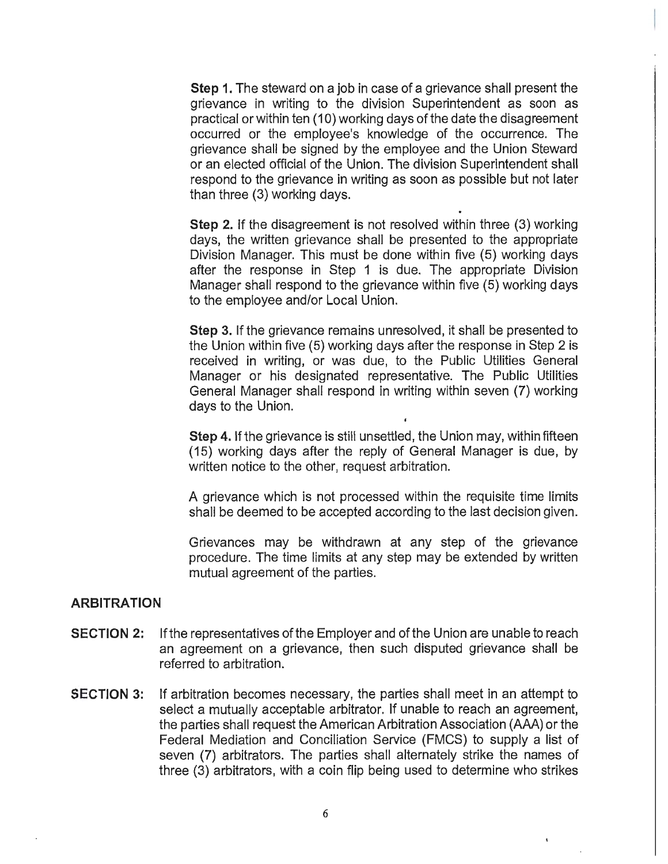**Step 1.** The steward on a job in case of a grievance shall present the grievance in writing to the division Superintendent as soon as practical or within ten (10) working days of the date the disagreement occurred or the employee's knowledge of the occurrence. The grievance shall be signed by the employee and the Union Steward or an elected official of the Union. The division Superintendent shall respond to the grievance in writing as soon as possible but not later than three (3) working days.

**Step** 2. If the disagreement is not resolved within three (3) working days, the written grievance shall be presented to the appropriate Division Manager. This must be done within five (5) working days after the response in Step 1 is due. The appropriate Division Manager shall respond to the grievance within five (5) working days to the employee and/or Local Union.

**Step** 3. If the grievance remains unresolved, it shall be presented to the Union within five (5) working days after the response in Step 2 is received in writing, or was due, to the Public Utilities General Manager or his designated representative. The Public Utilities General Manager shall respond in writing within seven (7) working days to the Union.

**Step 4.** If the grievance is still unsettled, the Union may, within fifteen (15) working days after the reply of General Manager is due, by written notice to the other, request arbitration.

A grievance which is not processed within the requisite time limits shall be deemed to be accepted according to the last decision given.

Grievances may be withdrawn at any step of the grievance procedure. The time limits at any step may be extended by written mutual agreement of the parties.

#### **ARBITRATION**

- **SECTION 2:** If the representatives of the Employer and of the Union are unable to reach an agreement on a grievance, then such disputed grievance shall be referred to arbitration.
- **SECTION 3:** If arbitration becomes necessary, the parties shall meet in an attempt to select a mutually acceptable arbitrator. If unable to reach an agreement, the parties shall request the American Arbitration Association (AAA) or the Federal Mediation and Conciliation Service (FMCS) to supply a list of seven (7) arbitrators. The parties shall alternately strike the names of three (3) arbitrators, with a coin flip being used to determine who strikes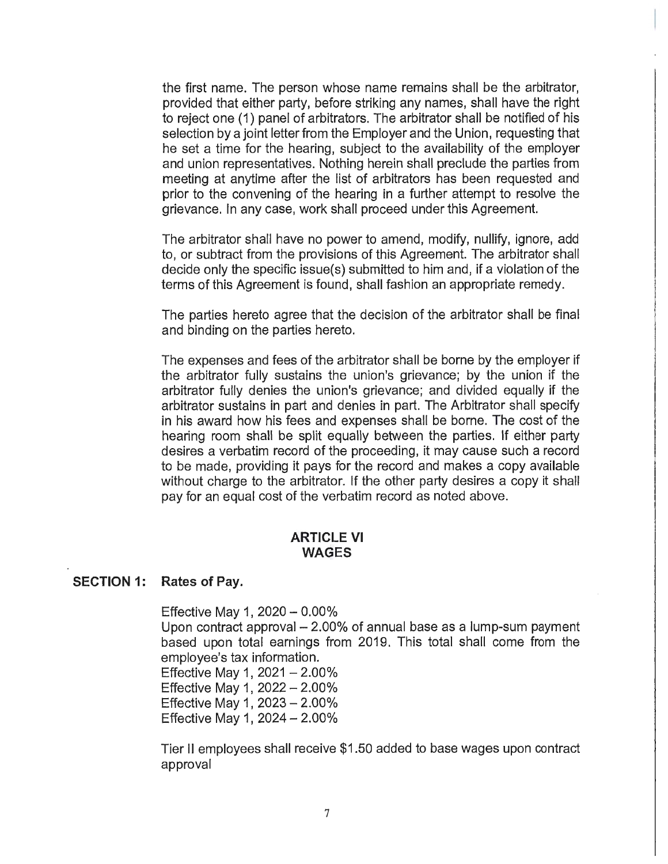the first name. The person whose name remains shall be the arbitrator, provided that either party, before striking any names, shall have the right *to* reject one (1) panel of arbitrators. The arbitrator shall be notified of his selection by a joint letter from the Employer and the Union, requesting that he set a time for the hearing, subject to the availability of the employer and union representatives. Nothing herein shall preclude the parties from meeting at anytime after the list of arbitrators has been requested and prior to the convening of the hearing in a further attempt to resolve the grievance. In any case, work shall proceed under this Agreement.

The arbitrator shall have no power to amend, modify, nullify, ignore, add to, or subtract from the provisions of this Agreement. The arbitrator shall decide only the specific issue(s) submitted to him and, if a violation of the terms of this Agreement is found, shall fashion an appropriate remedy.

The parties hereto agree that the decision of the arbitrator shall be final and binding on the parties hereto.

The expenses and fees of the arbitrator shall be borne by the employer if the arbitrator fully sustains the union's grievance; by the union if the arbitrator fully denies the union's grievance; and divided equally if the arbitrator sustains in part and denies in part. The Arbitrator shall specify in his award how his fees and expenses shall be borne. The cost of the hearing room shall be split equally between the parties. If either party desires a verbatim record of the proceeding, it may cause such a record *to* be made, providing it pays for the record and makes a copy available without charge to the arbitrator. If the other party desires a copy it shall pay for an equal cost of the verbatim record as noted above.

#### **ARTICLE VI WAGES**

#### **SECTION 1: Rates of Pay.**

Effective May 1,  $2020 - 0.00\%$ 

Upon contract approval  $-2.00\%$  of annual base as a lump-sum payment based upon total earnings from 2019. This total shall come from the employee's tax information.

Effective May 1,  $2021 - 2.00\%$ Effective May 1,  $2022 - 2.00\%$ Effective May 1,  $2023 - 2.00\%$ Effective May 1, 2024- 2.00%

Tier II employees shall receive \$1.50 added to base wages upon contract approval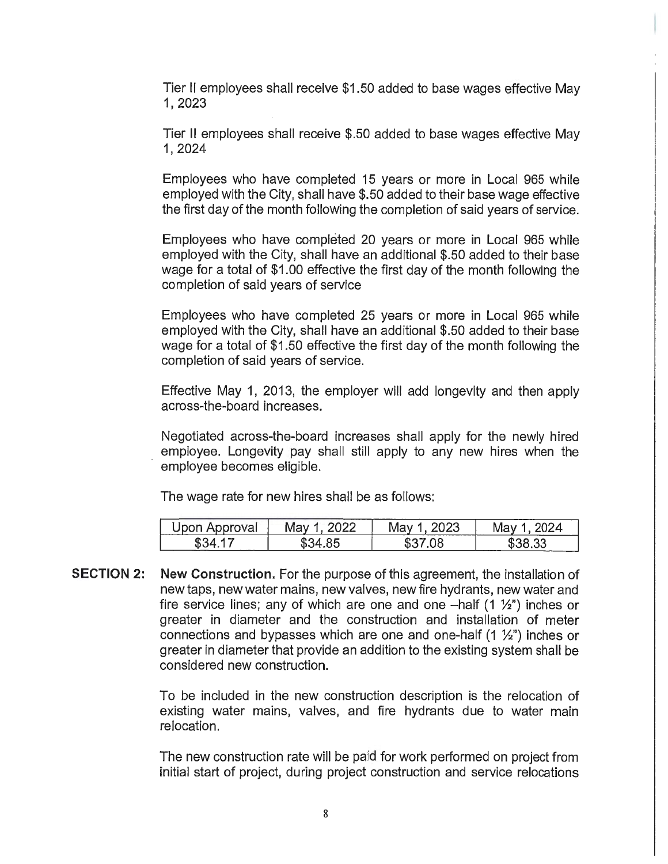Tier II employees shall receive \$1.50 added to base wages effective May 1, 2023

Tier II employees shall receive \$.50 added to base wages effective May 1,2024

Employees who have completed 15 years or more in Local 965 while employed with the City, shall have \$.50 added to their base wage effective the first day of the month following the completion of said years of service.

Employees who have completed 20 years or more in Local 965 while employed with the City, shall have an additional \$.50 added to their base wage for a total of \$1.00 effective the first day of the month following the completion of said years of service

Employees who have completed 25 years or more in Local 965 while employed with the City, shall have an additional \$.50 added to their base wage for a total of \$1.50 effective the first day of the month following the completion of said years of service.

Effective May 1, 2013, the employer will add longevity and then apply across-the-board increases.

Negotiated across-the-board increases shall apply for the newly hired employee. Longevity pay shall still apply to any new hires when the employee becomes eligible.

The wage rate for new hires shall be as follows:

| Upon Approval | .viav | 2023<br>viav | ג החו<br>Mav<br>/024 |
|---------------|-------|--------------|----------------------|
| \$34          | ১.34  | 80.          | .33                  |
|               | מא    | D.           | __                   |

**SECTION 2: New Construction.** For the purpose of this agreement, the installation of new taps, new water mains, new valves, new fire hydrants, new water and fire service lines; any of which are one and one  $-\text{half}(1 \frac{1}{2})$  inches or greater in diameter and the construction and installation of meter connections and bypasses which are one and one-half  $(1 \frac{1}{2})$  inches or greater in diameter that provide an addition to the existing system shall be considered new construction.

> To be included in the new construction description is the relocation of existing water mains, valves, and fire hydrants due to water main relocation.

> The new construction rate will be paid for work performed on project from initial start of project, during project construction and service relocations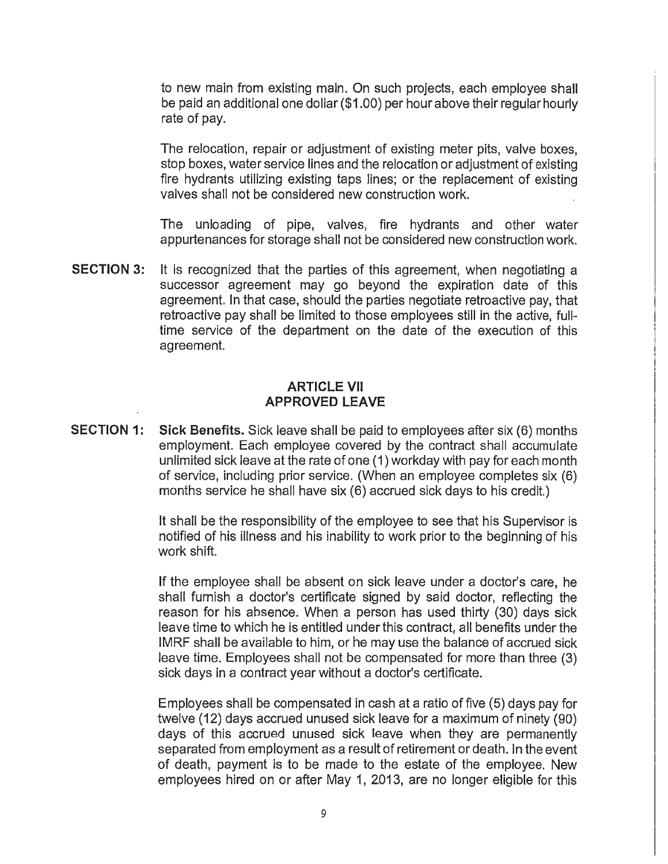to new main from existing main. On such projects, each employee shall be paid an additional one dollar (\$1.00) per hour above their regular hourly rate of pay.

The relocation, repair or adjustment of existing meter pits, valve boxes, stop boxes, water service lines and the relocation or adjustment of existing fire hydrants utilizing existing taps lines; or the replacement of existing valves shall not be considered new construction work.

The unloading of pipe, valves, fire hydrants and other water appurtenances for storage shall not be considered new construction work.

**SECTION 3:** It is recognized that the parties of this agreement, when negotiating a successor agreement may go beyond the expiration date of this agreement. In that case, should the parties negotiate retroactive pay, that retroactive pay shall be limited to those employees still in the active, fulltime service of the department on the date of the execution of this agreement.

### **ARTICLE VII APPROVED LEAVE**

**SECTION 1: Sick Benefits.** Sick leave shall be paid to employees after six (6) months employment. Each employee covered by the contract shall accumulate unlimited sick leave at the rate of one ( 1) workday with pay for each month of service, including prior service. (When an employee completes six (6) months service he shall have six (6) accrued sick days to his credit.)

> It shall be the responsibility of the employee to see that his Supervisor is notified of his illness and his inability to work prior to the beginning of his work shift.

> If the employee shall be absent on sick leave under a doctor's care, he shall furnish a doctor's certificate signed by said doctor, reflecting the reason for his absence. When a person has used thirty (30) days sick leave time to which he is entitled under this contract, all benefits under the IMRF shall be available to him, or he may use the balance of accrued sick leave time. Employees shall not be compensated for more than three (3) sick days in a contract year without a doctor's certificate.

> Employees shall be compensated in cash at a ratio of five (5) days pay for twelve (12) days accrued unused sick leave for a maximum of ninety (90) days of this accrued unused sick leave when they are permanently separated from employment as a result of retirement or death. In the event of death, payment is to be made to the estate of the employee. New employees hired on or after May 1, 2.013, are no longer eligible for this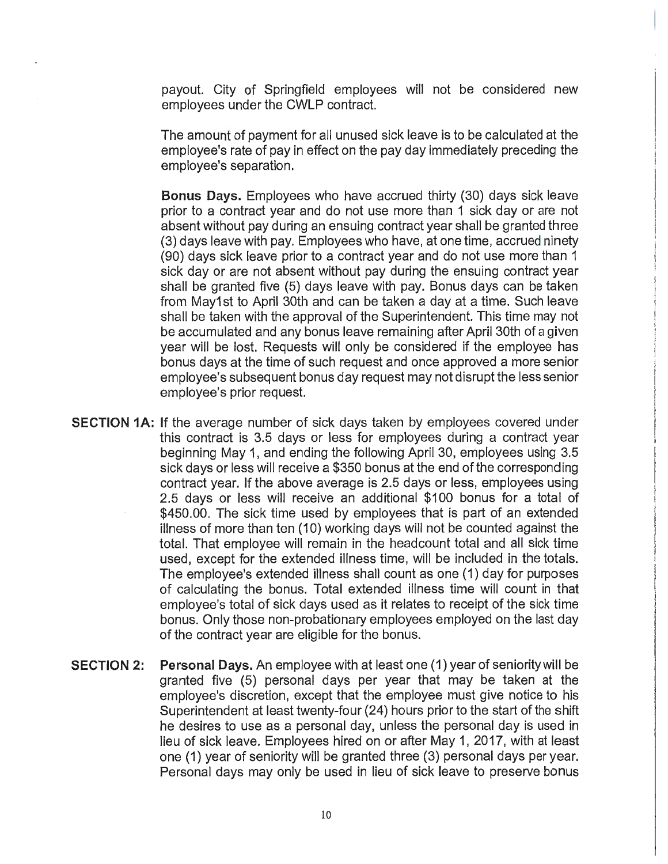payout. City of Springfield employees will not be considered new employees under the CWLP contract.

The amount of payment for all unused sick leave is to be calculated at the employee's rate of pay in effect on the pay day immediately preceding the employee's separation.

**Bonus Days.** Employees who have accrued thirty (30) days sick leave prior to a contract year and do not use more than 1 sick day or are not absent without pay during an ensuing contract year shall be granted three (3) days leave with pay. Employees who have, at one time, accrued ninety (90) days sick leave prior to a contract year and do not use more than 1 sick day or are not absent without pay during the ensuing contract year shall be granted five (5) days leave with pay. Bonus days can be taken . from May1 st to April 30th and can be taken a day at a time. Such leave shall be taken with the approval of the Superintendent. This time may not be accumulated and any bonus leave remaining after April 30th of a given year will be lost. Requests will only be considered if the employee has bonus days at the time of such request and once approved a more senior employee's subsequent bonus day request may not disrupt the less senior employee's prior request.

- **SECTION 1A:** If the average number of sick days taken by employees covered under this contract is 3.5 days or less for employees during a contract year beginning May 1, and ending the following April 30, employees using 3.5 sick days or less will receive a \$350 bonus at the end of the corresponding contract year. If the above average is 2.5 days or less, employees using 2.5 days or less will receive an additional \$100 bonus for a total of \$450.00. The sick time used by employees that is part of an extended illness of more than ten (10) working days will not be counted against the total. That employee will remain in the headcount total and all sick time used, except for the extended illness time, will be included in the totals. The employee's extended illness shall count as one (1) day for purposes of calculating the bonus. Total extended illness time will count in that employee's total of sick days used as it relates to receipt of the sick time bonus. Only those non-probationary employees employed on the last day of the contract year are eligible for the bonus.
- **SECTION 2: Personal Days.** An employee with at least one (1) year of seniority will be granted five (5) personal days per year that may be taken at the employee's discretion, except that the employee must give notice to his Superintendent at least twenty-four (24) hours prior to the start of the shift he desires to use as a personal day, unless the personal day is used in lieu of sick leave. Employees hired on or after May 1, 2017, with at least one (1) year of seniority will be granted three (3) personal days per year. Personal days may only be used in lieu of sick leave to preserve bonus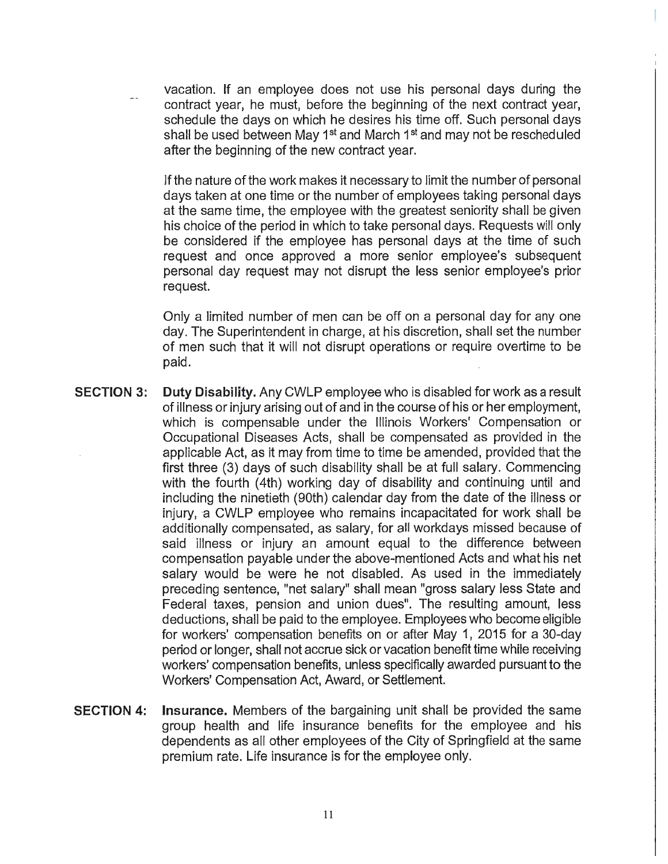vacation. If an employee does not use his personal days during the contract year, he must, before the beginning of the next contract year, schedule the days on which he desires his time off. Such personal days shall be used between May 1<sup>st</sup> and March 1<sup>st</sup> and may not be rescheduled after the beginning of the new contract year.

If the nature of the work makes it necessary to limit the number of personal days taken at one time or the number of employees taking personal days at the same time, the employee with the greatest seniority shall be given his choice of the period in which to take personal days. Requests will only be considered if the employee has personal days at the time of such request and once approved a more senior employee's subsequent personal day request may not disrupt the less senior employee's prior request.

Only a limited number of men can be off on a personal day for any one day. The Superintendent in charge, at his discretion, shall set the number of men such that it will not disrupt operations or require overtime to be paid.

- **SECTION 3: Duty Disability.** Any CWLP employee who is disabled for work as a result of illness or injury arising out of and in the course of his or her employment, which is compensable under the Illinois Workers' Compensation or Occupational Diseases Acts, shall be compensated as provided in the applicable Act, as it may from time to time be amended, provided that the first three (3) days of such disability shall be at full salary. Commencing with the fourth (4th) working day of disability and continuing until and including the ninetieth (90th) calendar day from the date of the illness or injury, a CWLP employee who remains incapacitated for work shall be additionally compensated, as salary, for all workdays missed because of said illness or injury an amount equal to the difference between compensation payable under the above-mentioned Acts and what his net salary would be were he not disabled. As used in the immediately preceding sentence, "net salary" shall mean "gross salary less State and Federal taxes, pension and union dues". The resulting amount, less deductions, shall be paid to the employee. Employees who become eligible for workers' compensation benefits on or after May 1, 2015 for a 30-day period or longer, shall not accrue sick or vacation benefit time while receiving workers' compensation benefits, unless specifically awarded pursuant to the Workers' Compensation Act, Award, or Settlement.
- **SECTION 4: Insurance.** Members of the bargaining unit shall be provided the same group health and life insurance benefits for the employee and his dependents as all other employees of the City of Springfield at the same premium rate. Life insurance is for the employee only.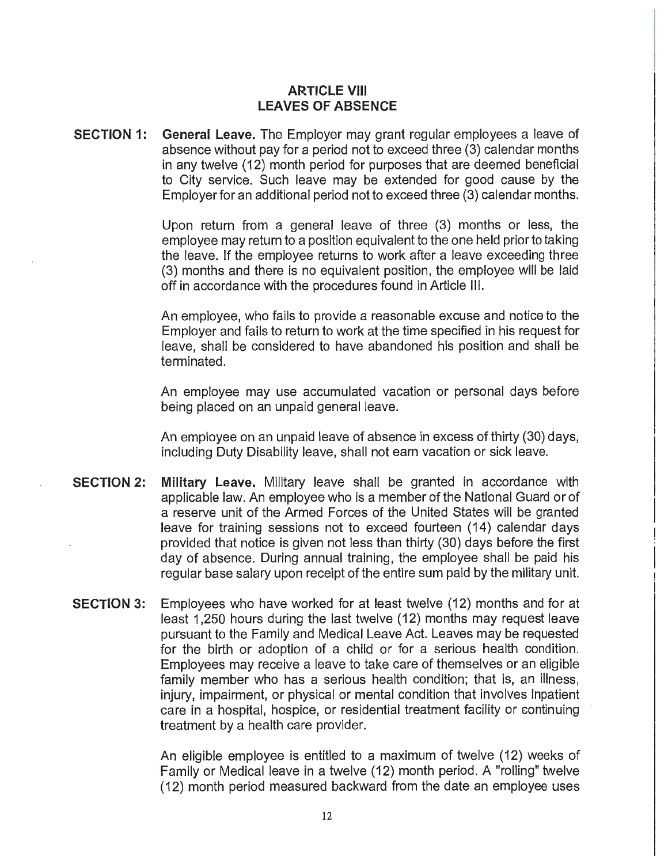## **ARTICLE VIII LEAVES OF ABSENCE**

**SECTION 1: General Leave.** The Employer may grant regular employees a leave of absence without pay for a period not to exceed three (3) calendar months in any twelve (12) month period for purposes that are deemed beneficial to City service. Such leave may be extended for good cause by the Employer for an additional period not to exceed three (3) calendar months.

> Upon return from a general leave of three (3) months or less, the employee may return to a position equivalent to the one held prior to taking the leave. If the employee returns to work after a leave exceeding three (3) months and there is no equivalent position, the employee will be laid off in accordance with the procedures found in Article Ill.

> An employee, who fails to provide a reasonable excuse and notice to the Employer and fails to return to work at the time specified in his request for leave, shall be considered to have abandoned his position and shall be terminated.

> An employee may use accumulated vacation or personal days before being placed on an unpaid general leave.

> An employee on an unpaid leave of absence in excess of thirty (30) days, including Duty Disability leave, shall not earn vacation or sick leave.

- **SECTION 2: Military Leave.** Military leave shall be granted in accordance with applicable law. An employee who is a member of the National Guard or of a reserve unit of the Armed Forces of the United States will be granted leave for training sessions not to exceed fourteen (14) calendar days provided that notice is given not less than thirty (30) days before the first day of absence. During annual training, the employee shall be paid his regular base salary upon receipt of the entire sum paid by the military unit.
- **SECTION 3:** Employees who have worked for at least twelve (12) months and for at least 1,250 hours during the last twelve (12) months may request leave pursuant to the Family and Medical Leave Act. Leaves may be requested for the birth or adoption of a child or for a serious health condition. Employees may receive a leave to take care of themselves or an eligible family member who has a serious health condition; that is, an illness, injury, impairment, or physical or mental condition that involves inpatient care in a hospital, hospice, or residential treatment facility or continuing treatment by a health care provider.

An eligible employee is entitled to a maximum of twelve (12) weeks of Family or Medical leave in a twelve (12) month period. A "rolling" twelve (12) month period measured backward from the date an employee uses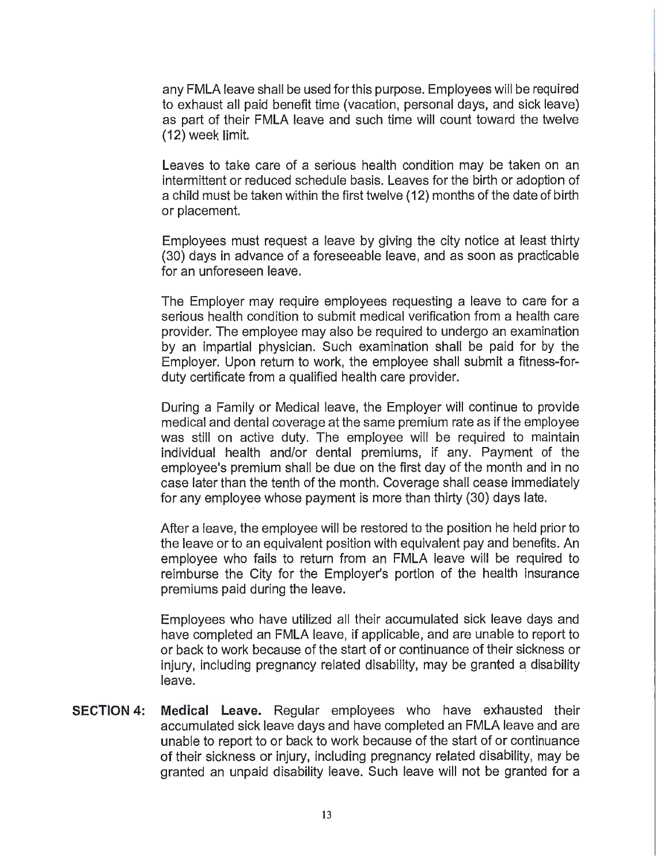any FMLA leave shall be used for this purpose. Employees will be required to exhaust all paid benefit time (vacation, personal days, and sick leave) as part of their FMLA leave and such time will count toward the twelve (12) week limit.

Leaves to take care of a serious health condition may be taken on an intermittent or reduced schedule basis. Leaves for the birth or adoption of a child must be taken within the first twelve (12) months of the date of birth or placement.

Employees must request a leave by giving the city notice at least thirty (30) days in advance of a foreseeable leave, and as soon as practicable for an unforeseen leave.

The Employer may require employees requesting a leave to care for a serious health condition to submit medical verification from a health care provider. The employee may also be required to undergo an examination by an impartial physician. Such examination shall be paid for by the Employer. Upon return to work, the employee shall submit a fitness-forduty certificate from a qualified health care provider.

During a Family or Medical leave, the Employer will continue to provide medical and dental coverage at the same premium rate as ifthe employee was still on active duty. The employee will be required to maintain individual health and/or dental premiums, if any. Payment of the employee's premium shall be due on the first day of the month and in no case later than the tenth of the month. Coverage shall cease immediately for any employee whose payment is more than thirty (30) days late.

After a leave, the employee will be restored to the position he held prior to the leave or to an equivalent position with equivalent pay and benefits. An employee who fails to return from an FMLA leave will be required to reimburse the City for the Employer's portion of the health insurance premiums paid during the leave.

Employees who have utilized all their accumulated sick leave days and have completed an FMLA leave, if applicable, and are unable to report to or back to work because of the start of or continuance of their sickness or injury, including pregnancy related disability, may be granted a disability leave.

**SECTION 4: Medical Leave.** Regular employees who have exhausted their accumulated sick leave days and have completed an FMLA leave and are unable to report to or back to work because of the start of or continuance of their sickness or injury, including pregnancy related disability, may be granted an unpaid disability leave. Such leave will not be granted for a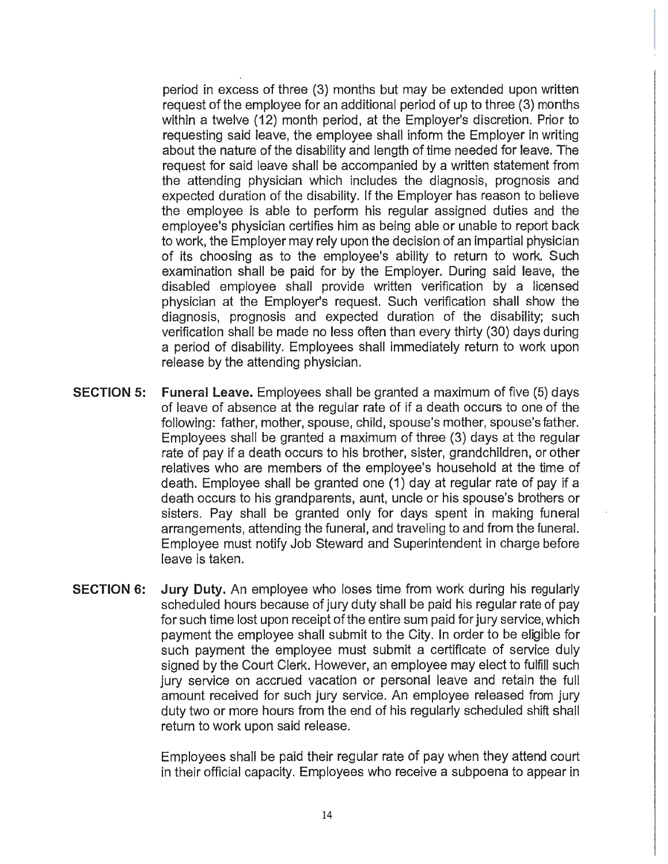period in excess of three (3) months but may be extended upon written request of the employee for an additional period of up to three (3) months within a twelve (12) month period, at the Employer's discretion. Prior to requesting said leave, the employee shall inform the Employer in writing about the nature of the disability and length of time needed for leave. The request for said leave shall be accompanied by a written statement from the attending physician which includes the diagnosis, prognosis and expected duration of the disability. If the Employer has reason to believe the employee is able to perform his regular assigned duties and the employee's physician certifies him as being able or unable to report back to work, the Employer may rely upon the decision of an impartial physician of its choosing as to the employee's ability to return to work. Such examination shall be paid for by the Employer. During said leave, the disabled employee shall provide written verification by a licensed physician at the Employer's request. Such verification shall show the diagnosis, prognosis and expected duration of the disability; such verification shall be made no less often than every thirty (30) days during a period of disability. Employees shall immediately return to work upon release by the attending physician.

- SECTION 5: Funeral Leave. Employees shall be granted a maximum of five (5) days of leave of absence at the regular rate of if a death occurs to one of the following: father, mother, spouse, child, spouse's mother, spouse's father. Employees shall be granted a maximum of three (3) days at the regular rate of pay if a death occurs to his brother, sister, grandchildren, or other relatives who are members of the employee's household at the time of death. Employee shall be granted one (1) day at regular rate of pay if a death occurs to his grandparents, aunt, uncle or his spouse's brothers or sisters. Pay shall be granted only for days spent in making funeral arrangements, attending the funeral, and traveling to and from the funeral. Employee must notify Job Steward and Superintendent in charge before leave is taken.
- SECTION 6: Jury Duty. An employee who loses time from work during his regularly scheduled hours because of jury duty shall be paid his regular rate of pay for such time lost upon receipt of the entire sum paid for jury service, which payment the employee shall submit to the City. In order to be eligible for such payment the employee must submit a certificate of service duly signed by the Court Clerk. However, an employee may elect to fulfill such jury service on accrued vacation or personal leave and retain the full amount received for such jury service. An employee released from jury duty two or more hours from the end of his regularly scheduled shift shall return to work upon said release.

Employees shall be paid their regular rate of pay when they attend court in their official capacity. Employees who receive a subpoena to appear in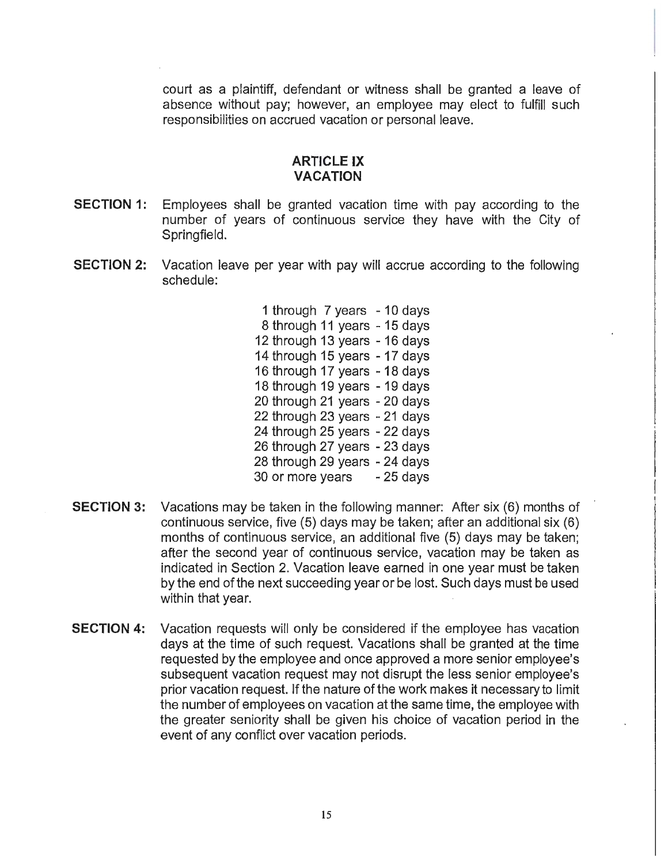court as a plaintiff, defendant or witness shall be granted a leave of absence without pay; however, an employee may elect to fulfill such responsibilities on accrued vacation or personal leave.

#### **ARTICLE IX VACATION**

- **SECTION 1:** Employees shall be granted vacation time with pay according to the number of years of continuous service they have with the City of Springfield.
- **SECTION 2:** Vacation leave per year with pay will accrue according to the following schedule:

1 through 7 years - 10 days 8 through 11 years - 15 days 12 through 13 years - 16 days 14 through 15 years -17 days 16 through 17 years - 18 days 18 through 19 years - 19 days 20 through 21 years - 20 days 22 through 23 years - 21 days 24 through 25 years - 22 days 26 through 27 years - 23 days 28 through 29 years - 24 days 30 or more years - 25 days

- **SECTION** 3: Vacations may be taken in the following manner: After six (6) months of continuous service, five (5) days may be taken; after an additional six (6) months of continuous service, an additional five (5) days may be taken; after the second year of continuous service, vacation may be taken as indicated in Section 2. Vacation leave earned in one year must be taken by the end of the next succeeding year or be lost. Such days must be used within that year.
- **SECTION 4:** Vacation requests will only be considered if the employee has vacation days at the time of such request. Vacations shall be granted at the time requested by the employee and once approved a more senior employee's subsequent vacation request may not disrupt the less senior employee's prior vacation request. If the nature of the work makes it necessary to limit the number of employees on vacation at the same time, the employee with the greater seniority shall be given his choice of vacation period in the event of any conflict over vacation periods.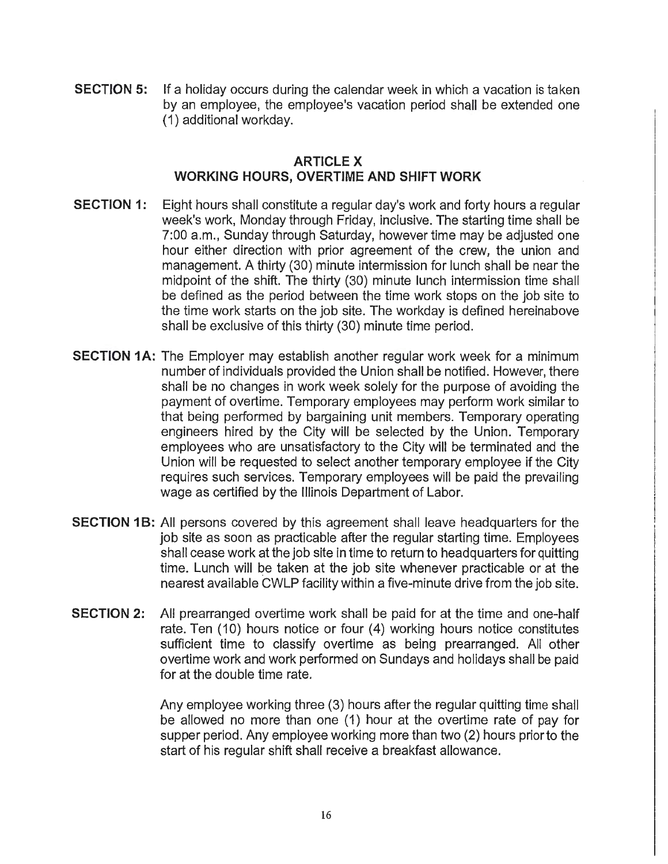**SECTION 5:** If a holiday occurs during the calendar week in which a vacation is taken by an employee, the employee's vacation period shall be extended one (1) additional workday.

### **ARTICLEX WORKING HOURS, OVERTIME AND SHIFT WORK**

- **SECTION 1:** Eight hours shall constitute a regular day's work and forty hours a regular week's work, Monday through Friday, inclusive. The starting time shall be 7:00 a.m., Sunday through Saturday, however time may be adjusted one hour either direction with prior agreement of the crew, the union and management. A thirty (30) minute intermission for lunch shall be near the midpoint of the shift. The thirty (30) minute lunch intermission time shall be defined as the period between the time work stops on the job site to the time work starts on the job site. The workday is defined hereinabove shall be exclusive of this thirty (30) minute time period.
- **SECTION 1A:** The Employer may establish another regular work week for a minimum number of individuals provided the Union shall be notified. However, there shall be no changes in work week solely for the purpose of avoiding the payment of overtime. Temporary employees may perform work similar to that being performed by bargaining unit members. Temporary operating engineers hired by the City will be selected by the Union. Temporary employees who are unsatisfactory to the City will be terminated and the Union will be requested to select another temporary employee if the City requires such services. Temporary employees will be paid the prevailing wage as certified by the Illinois Department of Labor.
- **SECTION 1B:** All persons covered by this agreement shall leave headquarters for the job site as soon as practicable after the regular starting time. Employees shall cease work at the job site in time to return to headquarters for quitting time. Lunch will be taken at the job site whenever practicable or at the nearest available CWLP facility within a five-minute drive from the job site.
- **SECTION 2:** All prearranged overtime work shall be paid for at the time and one-half rate. Ten (10) hours notice or four (4) working hours notice constitutes sufficient time to classify overtime as being prearranged. All other overtime work and work performed on Sundays and holidays shall be paid for at the double time rate.

Any employee working three (3) hours after the regular quitting time shall be allowed no more than one (1) hour at the overtime rate of pay for supper period. Any employee working more than two (2) hours prior to the start of his regular shift shall receive a breakfast allowance.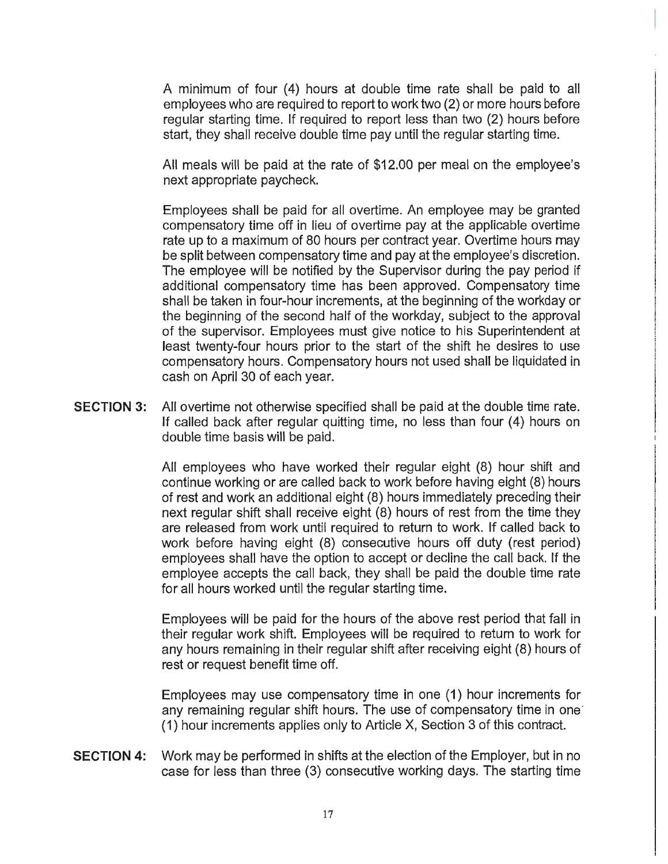A minimum of four (4) hours at double time rate shall be paid to all employees who are required to report to work two (2) or more hours before regular starting time. If required to report less than two (2) hours before start, they shall receive double time pay until the regular starting time.

All meals will be paid at the rate of \$12.00 per meal on the employee's next appropriate paycheck.

Employees shall be paid for all overtime. An employee may be granted compensatory time off in lieu of overtime pay at the applicable overtime rate up to a maximum of 80 hours per contract year. Overtime hours may be split between compensatory time and pay at the employee's discretion. The employee will be notified by the Supervisor during the pay period if additional compensatory time has been approved. Compensatory time shall be taken in four-hour increments, at the beginning of the workday or the beginning of the second half of the workday, subject to the approval of the supervisor. Employees must give notice to his Superintendent at least twenty-four hours prior to the start of the shift he desires to use compensatory hours. Compensatory hours not used shall be liquidated in cash on April 30 of each year.

**SECTION** 3: All overtime not otherwise specified shall be paid at the double time rate. If called back after regular quitting time, no less than four (4) hours on double time basis will be paid.

> All employees who have worked their regular eight (8) hour shift and continue working or are called back to work before having eight (8) hours of rest and work an additional eight (8) hours immediately preceding their next regular shift shall receive eight (8) hours of rest from the time they are released from work until required to return to work. If called back to work before having eight (8) consecutive hours off duty (rest period) employees shall have the option to accept or decline the call back. If the employee accepts the call back, they shall be paid the double time rate for all hours worked until the regular starting time.

> Employees will be paid for the hours of the above rest period that fall in their regular work shift. Employees will be required to return to work for any hours remaining in their regular shift after receiving eight (8) hours of rest or request benefit time off.

> Employees may use compensatory time in one (1) hour increments for any remaining regular shift hours. The use of compensatory time in one' ( 1) hour increments applies only to Article X, Section 3 of this contract.

**SECTION 4:** Work may be performed in shifts at the election of the Employer, but in no case for less than three (3) consecutive working days. The starting time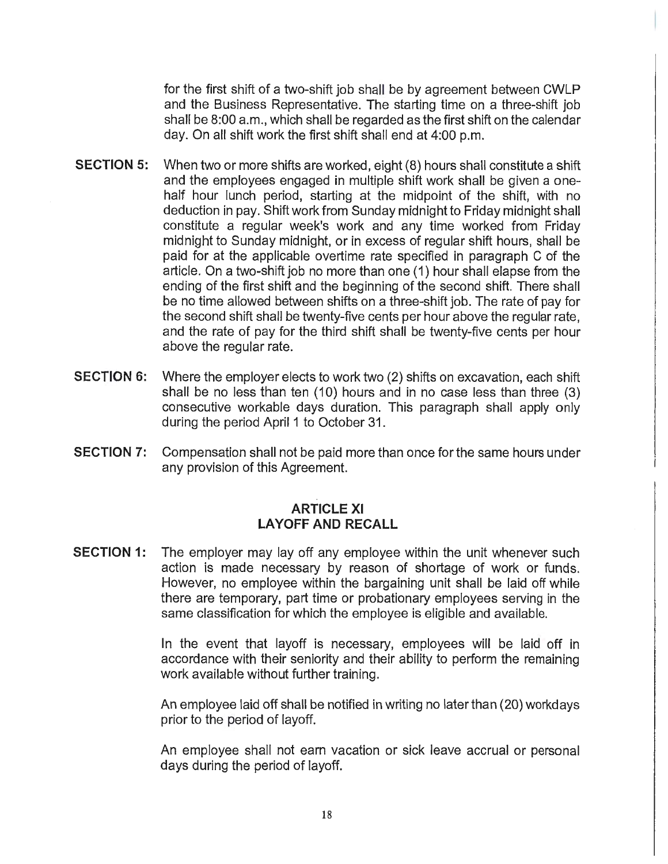for the first shift of a two-shift job shall be by agreement between CWLP and the Business Representative. The starting time on a three-shift job shall be 8:00 a.m., which shall be regarded as the first shift on the calendar day. On all shift work the first shift shall end at 4:00 p.m.

- **SECTION 5:** When two or more shifts are worked, eight (8) hours shall constitute a shift and the employees engaged in multiple shift work shall be given a onehalf hour lunch period, starting at the midpoint of the shift, with no deduction in pay. Shift work from Sunday midnight to Friday midnight shall constitute a regular week's work and any time worked from Friday midnight to Sunday midnight, or in excess of regular shift hours, shall be paid for at the applicable overtime rate specified in paragraph C of the article. On a two-shift job no more than one ( 1) hour shall elapse from the ending of the first shift and the beginning of the second shift. There shall be no time allowed between shifts on a three-shift job. The rate of pay for the second shift shall be twenty-five cents per hour above the regular rate, and the rate of pay for the third shift shall be twenty-five cents per hour above the regular rate.
- **SECTION 6:** Where the employer elects to work two (2) shifts on excavation, each shift shall be no less than ten (10) hours and in no case less than three (3) consecutive workable days duration. This paragraph shall apply only during the period April 1 to October 31.
- **SECTION** 7: Compensation shall not be paid more than once for the same hours under any provision of this Agreement.

### **ARTICLE XI LAYOFF AND RECALL**

**SECTION 1:** The employer may lay off any employee within the unit whenever such action is made necessary by reason of shortage of work or funds. However, no employee within the bargaining unit shall be laid off while there are temporary, part time or probationary employees serving in the same classification for which the employee is eligible and available.

> In the event that layoff is necessary, employees will be laid off in accordance with their seniority and their ability to perform the remaining work available without further training.

> An employee laid off shall be notified in writing no later than (20) workdays prior to the period of layoff.

> An employee shall not earn vacation or sick leave accrual or personal days during the period of layoff.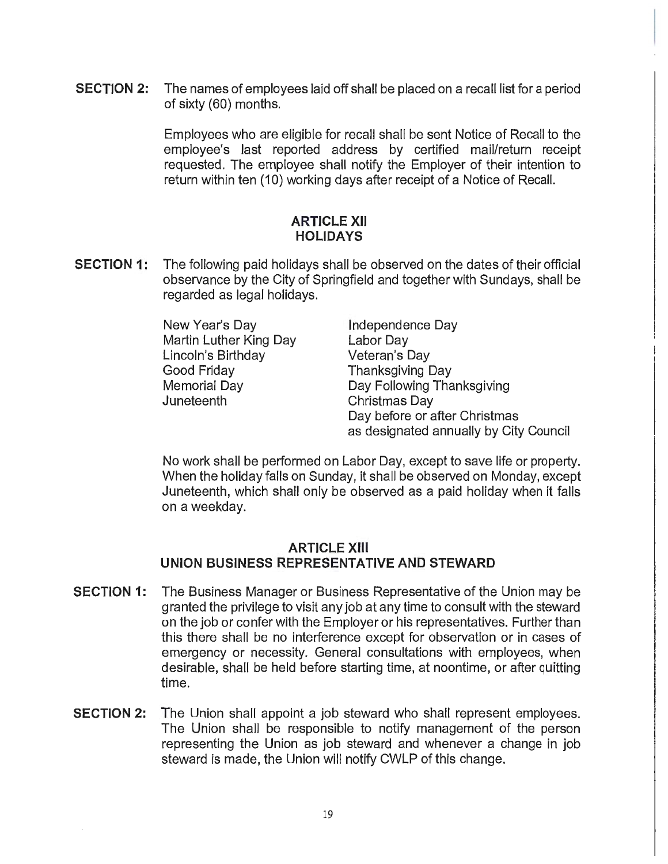**SECTION 2:** The names of employees laid off shall be placed on a recall list for a period of sixty (60) months.

> Employees who are eligible for recall shall be sent Notice of Recall to the employee's last reported address by certified mail/return receipt requested. The employee shall notify the Employer of their intention to return within ten (10) working days after receipt of a Notice of Recall.

### **ARTICLE XII HOLIDAYS**

**SECTION 1:** The following paid holidays shall be observed on the dates of their official observance by the City of Springfield and together with Sundays, shall be regarded as legal holidays.

> New Year's Day Martin Luther King Day Lincoln's Birthday Good Friday Memorial Day Juneteenth

Independence Day Labor Day Veteran's Day Thanksgiving Day Day Following Thanksgiving Christmas Day Day before or after Christmas as designated annually by City Council

No work shall be performed on Labor Day, except to save life or property. When the holiday falls on Sunday, it shall be observed on Monday, except Juneteenth, which shall only be observed as a paid holiday when it falls on a weekday.

### **ARTICLE XIII UNION BUSINESS REPRESENTATIVE AND STEWARD**

- **SECTION 1:** The Business Manager or Business Representative of the Union may be granted the privilege to visit any job at any time to consult with the steward on the job or confer with the Employer or his representatives. Further than this there shall be no interference except for observation or in cases of emergency or necessity. General consultations with employees, when desirable, shall be held before starting time, at noontime, or after quitting time.
- **SECTION 2:** The Union shall appoint a job steward who shall represent employees. The Union shall be responsible to notify management of the person representing the Union as job steward and whenever a change in job steward is made, the Union will notify CWLP of this change.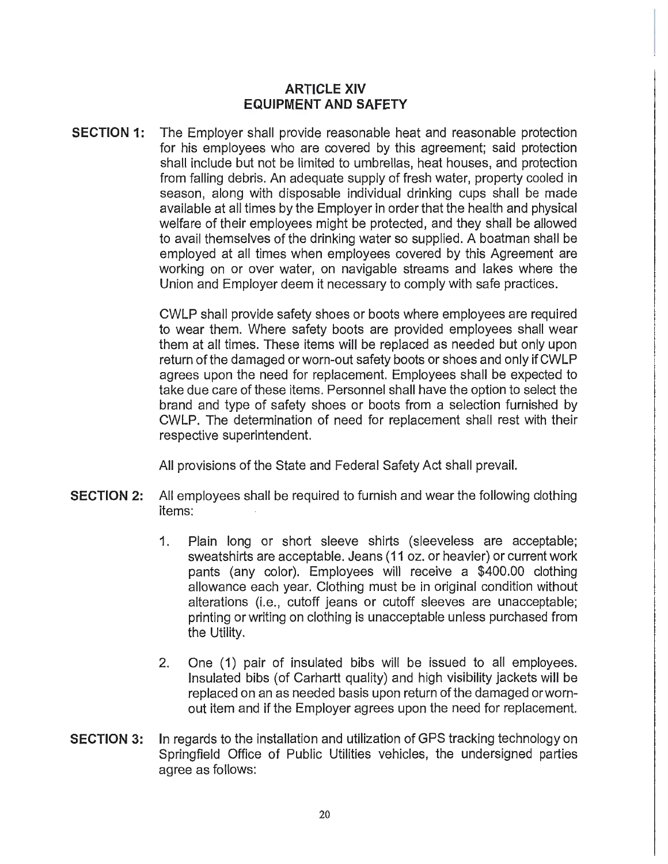### **ARTICLE XIV EQUIPMENT AND SAFETY**

**SECTION 1:** The Employer shall provide reasonable heat and reasonable protection for his employees who are covered by this agreement; said protection shall include but not be limited to umbrellas, heat houses, and protection from falling debris. An adequate supply of fresh water, property cooled in season, along with disposable individual drinking cups shall be made available at all times by the Employer in order that the health and physical welfare of their employees might be protected, and they shall be allowed to avail themselves of the drinking water so supplied. A boatman shall be employed at all times when employees covered by this Agreement are working on or over water, on navigable streams and lakes where the Union and Employer deem it necessary to comply with safe practices.

> CWLP shall provide safety shoes or boots where employees are required to wear them. Where safety boots are provided employees shall wear them at all times. These items will be replaced as needed but only upon return of the damaged or worn-out safety boots or shoes and only if CWLP agrees upon the need for replacement. Employees shall be expected to take due care of these items. Personnel shall have the option to select the brand and type of safety shoes or boots from a selection furnished by CWLP. The determination of need for replacement shall rest with their respective superintendent.

All provisions of the State and Federal Safety Act shall prevail.

- **SECTION 2:** All employees shall be required to furnish and wear the following clothing items:
	- 1. Plain long or short sleeve shirts (sleeveless are acceptable; sweatshirts are acceptable. Jeans (11 oz. or heavier) or current work pants (any color). Employees will receive a \$400.00 clothing allowance each year. Clothing must be in original condition without alterations (i.e., cutoff jeans or cutoff sleeves are unacceptable; printing or writing on clothing is unacceptable unless purchased from the Utility.
	- 2. One (1) pair of insulated bibs will be issued to all employees. Insulated bibs (of Carhartt quality) and high visibility jackets will be replaced on an as needed basis upon return of the damaged orwornout item and if the Employer agrees upon the need for replacement.
- **SECTION 3:** In regards to the installation and utilization of GPS tracking technology on Springfield Office of Public Utilities vehicles, the undersigned parties agree as follows: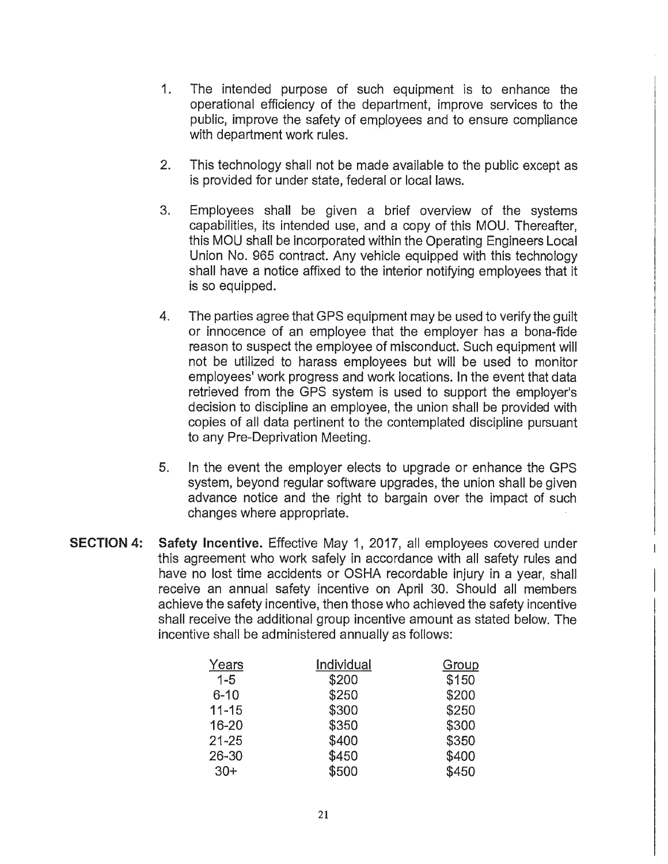- 1. The intended purpose of such equipment is to enhance the operational efficiency of the department, improve services to the public, improve the safety of employees and to ensure compliance with department work rules.
- 2. This technology shall not be made available to the public except as is provided for under state, federal or local laws.
- 3. Employees shall be given a brief overview of the systems capabilities, its intended use, and a copy of this MOU. Thereafter, this MOU shall be incorporated within the Operating Engineers Local Union No. 965 contract. Any vehicle equipped with this technology shall have a notice affixed to the interior notifying employees that it is so equipped.
- 4. The parties agree that GPS equipment may be used to verify the guilt or innocence of an employee that the employer has a bona-fide reason to suspect the employee of misconduct. Such equipment will not be utilized to harass employees but will be used to monitor employees' work progress and work locations. In the event that data retrieved from the GPS system is used to support the employer's decision to discipline an employee, the union shall be provided with copies of all data pertinent to the contemplated discipline pursuant to any Pre-Deprivation Meeting.
- 5. In the event the employer elects to upgrade or enhance the GPS system, beyond regular software upgrades, the union shall be given advance notice and the right to bargain over the impact of such changes where appropriate.
- **SECTION 4: Safety Incentive.** Effective May 1, 2017, all employees covered under this agreement who work safely in accordance with all safety rules and have no lost time accidents or OSHA recordable injury in a year, shall receive an annual safety incentive on April 30. Should all members achieve the safety incentive, then those who achieved the safety incentive shall receive the additional group incentive amount as stated below. The incentive shall be administered annually as follows:

| Years     | Individual | Group |
|-----------|------------|-------|
| $1 - 5$   | \$200      | \$150 |
| $6 - 10$  | \$250      | \$200 |
| $11 - 15$ | \$300      | \$250 |
| $16 - 20$ | \$350      | \$300 |
| $21 - 25$ | \$400      | \$350 |
| $26 - 30$ | \$450      | \$400 |
| $30+$     | \$500      | \$450 |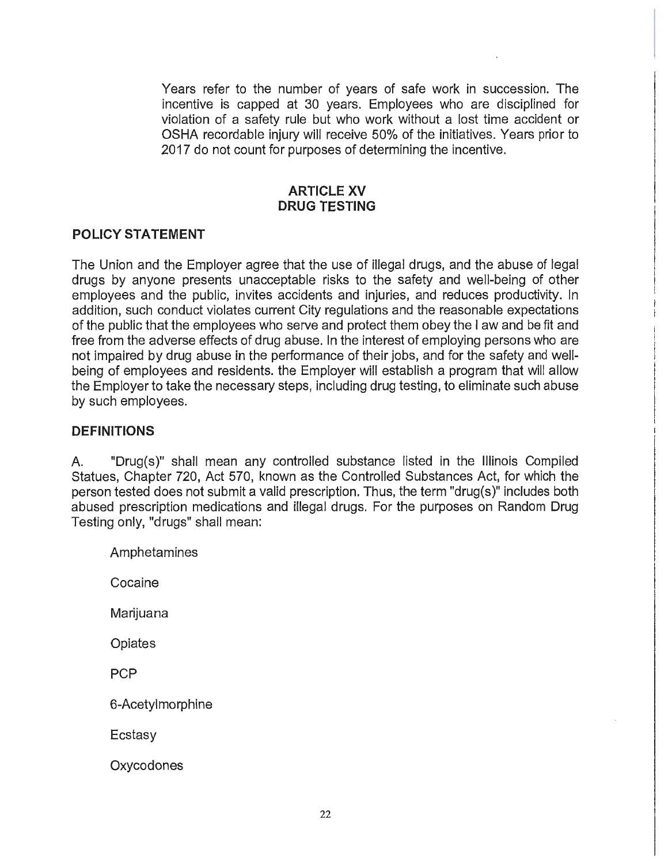Years refer to the number of years of safe work in succession. The incentive is capped at 30 years. Employees who are disciplined for violation of a safety rule but who work without a lost time accident or OSHA recordable injury will receive 50% of the initiatives. Years prior to 2017 do not count for purposes of determining the incentive.

### **ARTICLE XV DRUG TESTING**

## **POLICY STATEMENT**

The Union and the Employer agree that the use of illegal drugs, and the abuse of legal drugs by anyone presents unacceptable risks to the safety and well-being of other employees and the public, invites accidents and injuries, and reduces productivity. In addition, such conduct violates current City regulations and the reasonable expectations of the public that the employees who serve and protect them obey the I aw and be fit and free from the adverse effects of drug abuse. In the interest of employing persons who are not impaired by drug abuse in the performance of their jobs, and for the safety and wellbeing of employees and residents. the Employer will establish a program that will allow the Employer to take the necessary steps, including drug testing, to eliminate such abuse by such employees.

### **DEFINITIONS**

A. "Drug(s)" shall mean any controlled substance listed in the Illinois Compiled Statues, Chapter 720, Act 570, known as the Controlled Substances Act, for which the person tested does not submit a valid prescription. Thus, the term "drug(s)" includes both abused prescription medications and illegal drugs. For the purposes on Random Drug Testing only, "drugs" shall mean:

Amphetamines

Cocaine

Marijuana

**Opiates** 

**PCP** 

6-Acetylmorphine

Ecstasy

**Oxycodones**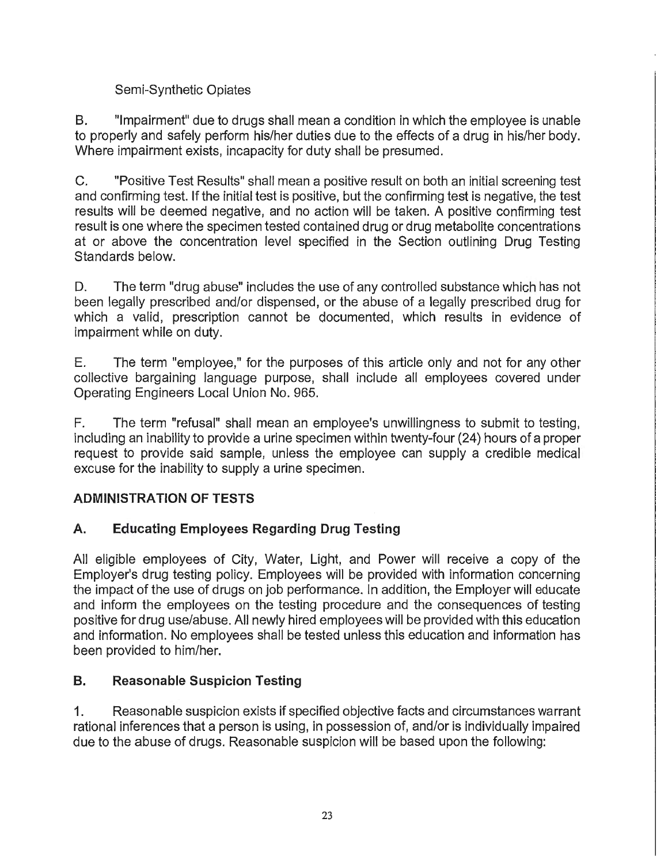# Semi-Synthetic Opiates

B. "Impairment" due to drugs shall mean a condition in which the employee is unable to properly and safely perform his/her duties due to the effects of a drug in his/her body. Where impairment exists, incapacity for duty shall be presumed.

C. "Positive Test Results" shall mean a positive result on both an initial screening test and confirming test. If the initial test is positive, but the confirming test is negative, the test results will be deemed negative, and no action will be taken. A positive confirming test result is one where the specimen tested contained drug or drug metabolite concentrations at or above the concentration level specified in the Section outlining Drug Testing Standards below.

D. The term "drug abuse" includes the use of any controlled substance which has not been legally prescribed and/or dispensed, or the abuse of a legally prescribed drug for which a valid, prescription cannot be documented, which results in evidence of impairment while on duty.

E. The term "employee," for the purposes of this article only and not for any other collective bargaining language purpose, shall include all employees covered under Operating Engineers Local Union No. 965.

F. The term "refusal" shall mean an employee's unwillingness to submit to testing, including an inability to provide a urine specimen within twenty-four (24) hours of a proper request to provide said sample, unless the employee can supply a credible medical excuse for the inability to supply a urine specimen.

# **ADMINISTRATION OF TESTS**

# **A. Educating Employees Regarding Drug Testing**

All eligible employees of City, Water, Light, and Power will receive a copy of the Employer's drug testing policy. Employees will be provided with information concerning the impact of the use of drugs on job performance. In addition, the Employer will educate and inform the employees on the testing procedure and the consequences of testing positive for drug use/abuse. All newly hired employees will be provided with this education and information. No employees shall be tested unless this education and information has been provided to him/her.

# **B. Reasonable Suspicion Testing**

1. Reasonable suspicion exists if specified objective facts and circumstances warrant rational inferences that a person is using, in possession of, and/or is individually impaired due to the abuse of drugs. Reasonable suspicion will be based upon the following: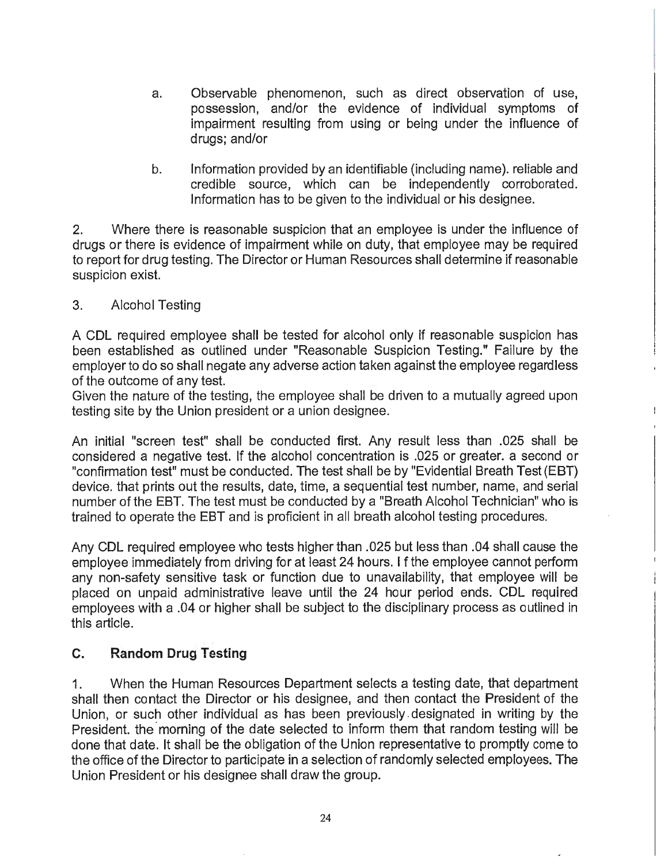- a. Observable phenomenon, such as direct observation of use, possession, and/or the evidence of individual symptoms of impairment resulting from using or being under the influence of drugs; and/or
- b. Information provided by an identifiable (including name). reliable and credible source, which can be independently corroborated. Information has to be given to the individual or his designee.

2. Where there is reasonable suspicion that an employee is under the influence of drugs or there is evidence of impairment while on duty, that employee may be required to report for drug testing. The Director or Human Resources shall determine if reasonable suspicion exist.

## 3. Alcohol Testing

A CDL required employee shall be tested for alcohol only if reasonable suspicion has been established as outlined under "Reasonable Suspicion Testing." Failure by the employer to do so shall negate any adverse action taken against the employee regardless of the outcome of any test.

Given the nature of the testing, the employee shall be driven to a mutually agreed upon testing site by the Union president or a union designee.

An initial "screen test" shall be conducted first. Any result less than .025 shall be considered a negative test. If the alcohol concentration is .025 or greater. a second or "confirmation test" must be conducted. The test shall be by "Evidential Breath Test (EBT) device. that prints out the results, date, time, a sequential test number, name, and serial number of the EBT. The test must be conducted by a "Breath Alcohol Technician" who is trained to operate the EBT and is proficient in all breath alcohol testing procedures.

Any CDL required employee who tests higher than .025 but less than .04 shall cause the employee immediately from driving for at least 24 hours. I f the employee cannot perform any non-safety sensitive task or function due to unavailability, that employee will be placed on unpaid administrative leave until the 24 hour period ends. CDL required employees with a .04 or higher shall be subject to the disciplinary process as outlined in this article.

# **C. Random Drug Testing**

1. When the Human Resources Department selects a testing date, that department shall then contact the Director or his designee, and then contact the President of the Union, or such other individual as has been previously. designated in writing by the President, the morning of the date selected to inform them that random testing will be done that date. It shall be the obligation of the Union representative to promptly come to the office of the Director to participate in a selection of randomly selected employees. The Union President or his designee shall draw the group.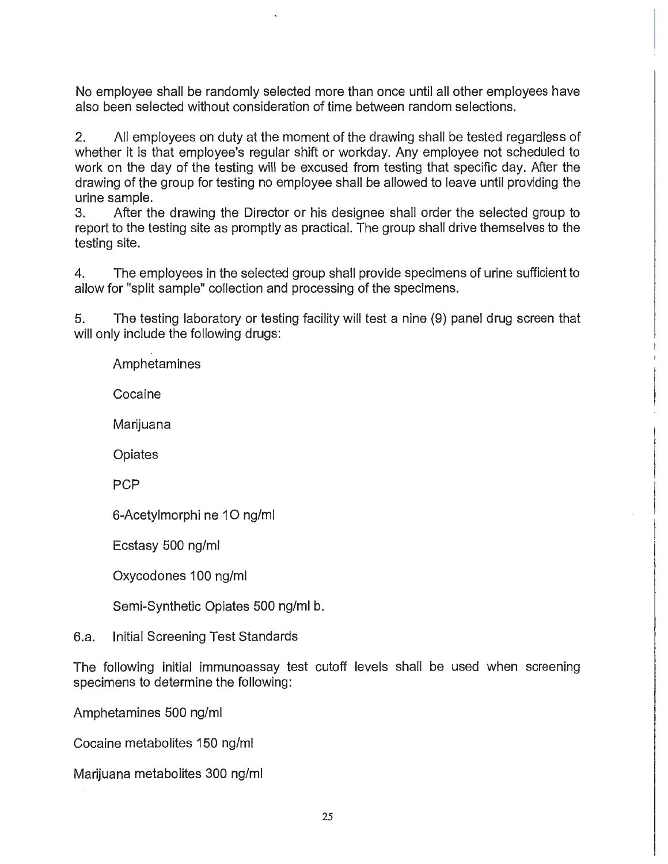No employee shall be randomly selected more than once until all other employees have also been selected without consideration of time between random selections.

2. All employees on duty at the moment of the drawing shall be tested regardless of whether it is that employee's regular shift or workday. Any employee not scheduled to work on the day of the testing will be excused from testing that specific day. After the drawing of the group for testing no employee shall be allowed to leave until providing the urine sample.

3. After the drawing the Director or his designee shall order the selected group to report to the testing site as promptly as practical. The group shall drive themselves to the testing site.

4. The employees in the selected group shall provide specimens of urine sufficient to allow for "split sample" collection and processing of the specimens.

5. The testing laboratory or testing facility will test a nine (9) panel drug screen that will only include the following drugs:

Amphetamines

Cocaine

Marijuana

**Opiates** 

PCP

6-Acetylmorphi ne 10 ng/ml

Ecstasy 500 ng/ml

Oxycodones 100 ng/ml

Semi-Synthetic Opiates 500 ng/ml b.

# 6.a. Initial Screening Test Standards

The following initial immunoassay test cutoff levels shall be used when screening specimens to determine the following:

Amphetamines 500 ng/ml

Cocaine metabolites 150 ng/ml

Marijuana metabolites 300 ng/ml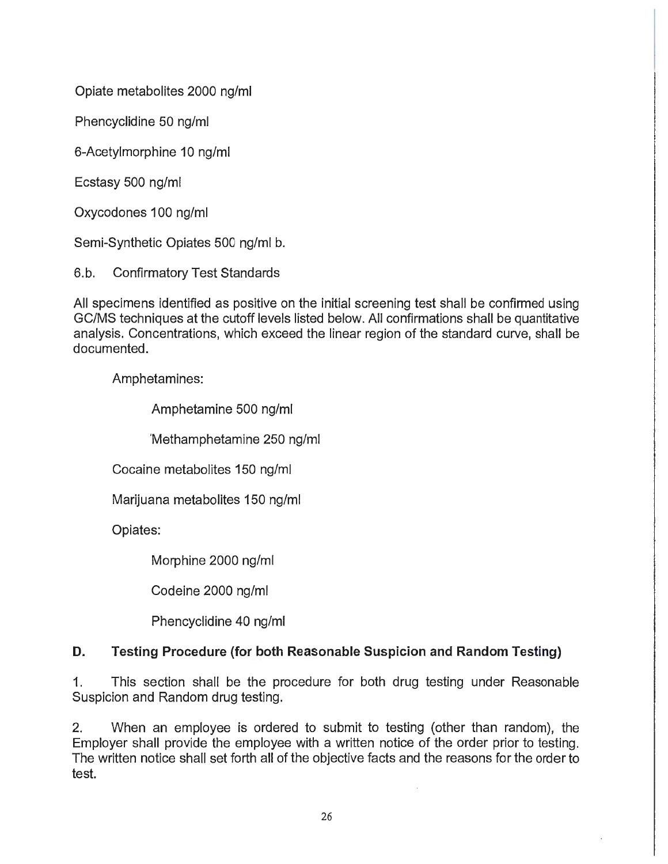Opiate metabolites 2000 ng/ml

Phencyclidine 50 ng/ml

6-Acetylmorphine 10 ng/ml

Ecstasy 500 ng/ml

Oxycodones 100 ng/ml

Semi-Synthetic Opiates 500 ng/ml b.

6.b. Confirmatory Test Standards

All specimens identified as positive on the initial screening test shall be confirmed using GC/MS techniques at the cutoff levels listed below. All confirmations shall be quantitative analysis. Concentrations, which exceed the linear region of the standard curve, shall be documented.

Amphetamines:

Amphetamine 500 ng/ml

'Methamphetamine 250 ng/ml

Cocaine metabolites 150 ng/ml

Marijuana metabolites 150 ng/ml

Opiates:

Morphine 2000 ng/ml

Codeine 2000 ng/ml

Phencyclidine 40 ng/ml

# **D. Testing Procedure (for both Reasonable Suspicion and Random Testing)**

1. This section shall be the procedure for both drug testing under Reasonable Suspicion and Random drug testing.

2. When an employee is ordered to submit to testing (other than random), the Employer shall provide the employee with a written notice of the order prior to testing. The written notice shall set forth all of the objective facts and the reasons for the order to test.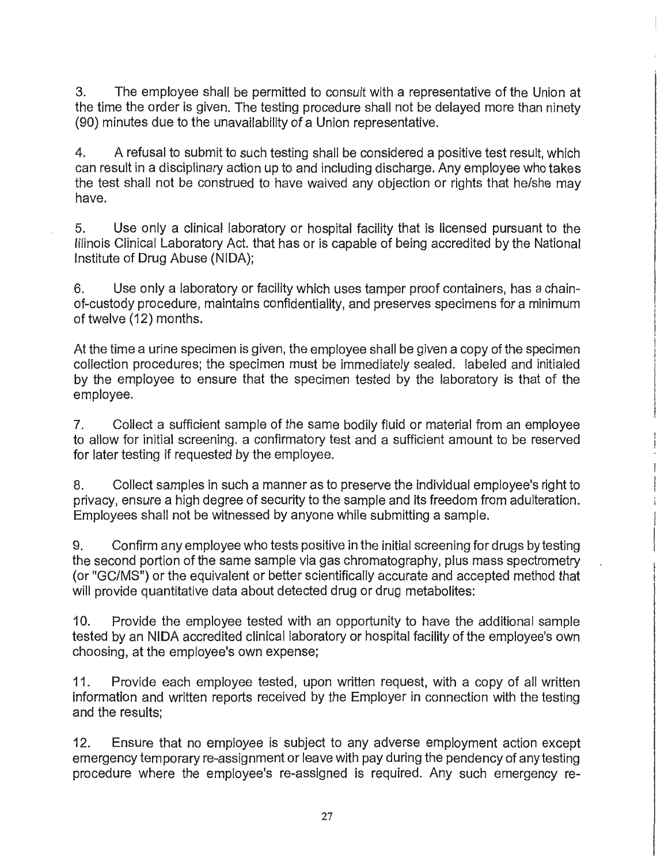3. The employee shall be permitted to consult with a representative of the Union at the time the order is given. The testing procedure shall not be delayed more than ninety (90) minutes due to the unavailability of a Union representative.

4. A refusal to submit to such testing shall be considered a positive test result, which can result in a disciplinary action up to and including discharge. Any employee who takes the test shall not be construed to have waived any objection or rights that he/she may have.

5. Use only a clinical laboratory or hospital facility that is licensed pursuant to the Illinois Clinical Laboratory Act. that has or is capable of being accredited by the National Institute of Drug Abuse (NIDA);

6. Use only a laboratory or facility which uses tamper proof containers, has a chainof-custody procedure, maintains confidentiality, and preserves specimens for a minimum of twelve (12) months.

At the time a urine specimen is given, the employee shall be given a copy of the specimen collection procedures; the specimen must be immediately sealed. labeled and initialed by the employee to ensure that the specimen tested by the laboratory is that of the employee.

7. Collect a sufficient sample of the same bodily fluid or material from an employee to allow for initial screening. a confirmatory test and a sufficient amount to be reserved for later testing if requested by the employee.

8. Collect samples in such a manner as to preserve the individual employee's right to privacy, ensure a high degree of security to the sample and its freedom from adulteration. Employees shall not be witnessed by anyone while submitting a sample.

9. Confirm any employee who tests positive in the initial screening for drugs by testing the second portion of the same sample via gas chromatography, plus mass spectrometry (or "GC/MS") or the equivalent or better scientifically accurate and accepted method that will provide quantitative data about detected drug or drug metabolites:

10. Provide the employee tested with an opportunity to have the additional sample tested by an NIDA accredited clinical laboratory or hospital facility of the employee's own choosing, at the employee's own expense;

11. Provide each employee tested, upon written request, with a copy of all written information and written reports received by the Employer in connection with the testing and the results;

12. Ensure that no employee is subject to any adverse employment action except emergency temporary re-assignment or leave with pay during the pendency of any testing procedure where the employee's re-assigned is required. Any such emergency re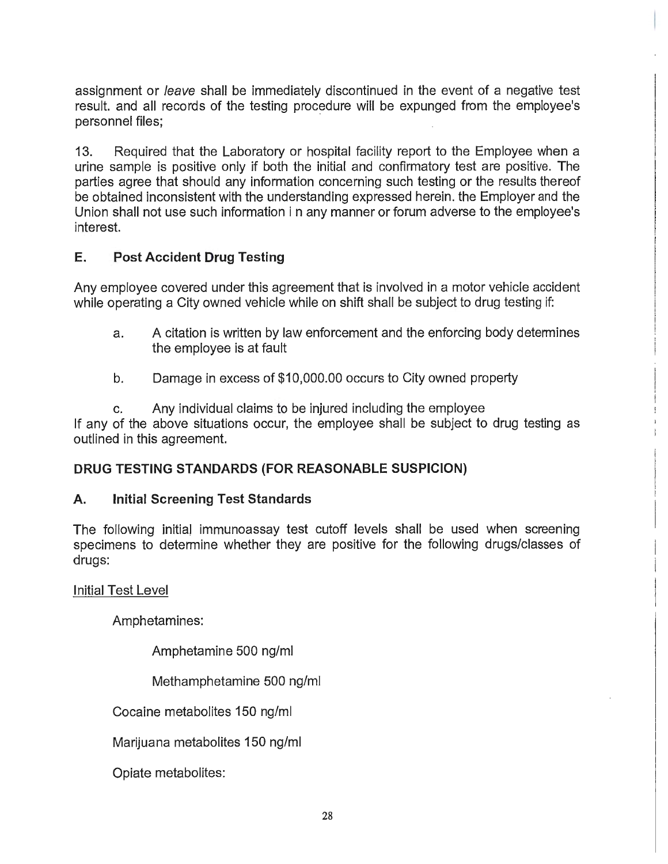assignment or leave shall be immediately discontinued in the event of a negative test result. and all records of the testing procedure will be expunged from the employee's personnel files:

13. Required that the Laboratory or hospital facility report to the Employee when a urine sample is positive only if both the initial and confirmatory test are positive. The parties agree that should any information concerning such testing or the results thereof be obtained inconsistent with the understanding expressed herein. the Employer and the Union shall not use such information in any manner or forum adverse to the employee's interest.

## **E. Post Accident Drug Testing**

Any employee covered under this agreement that is involved in a motor vehicle accident while operating a City owned vehicle while on shift shall be subject to drug testing if:

- a. A citation is written by law enforcement and the enforcing body determines the employee is at fault
- b. Damage in excess of \$10,000.00 occurs to City owned property

c. Any individual claims to be injured including the employee If any of the above situations occur, the employee shall be subject to drug testing as outlined in this agreement.

## **DRUG TESTING STANDARDS (FOR REASONABLE SUSPICION)**

## **A. Initial Screening Test Standards**

The following initial immunoassay test cutoff levels shall be used when screening specimens to determine whether they are positive for the following drugs/classes of drugs:

**Initial Test Level** 

Amphetamines:

Amphetamine 500 ng/ml

Methamphetamine 500 ng/ml

Cocaine metabolites 150 ng/ml

Marijuana metabolites 150 ng/ml

Opiate metabolites: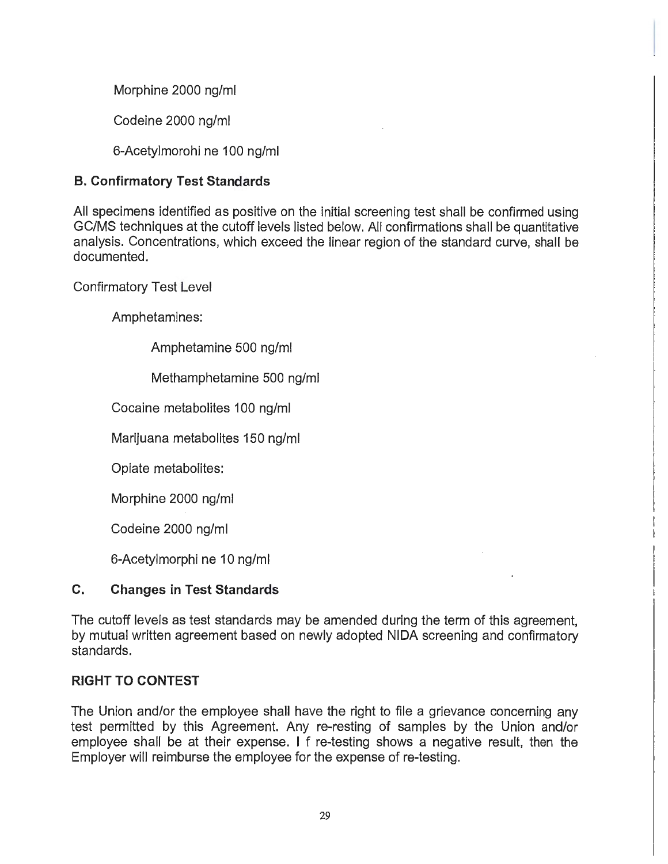Morphine 2000 ng/ml

Codeine 2000 ng/ml

6-Acetylmorohi ne 100 ng/ml

# **B. Confirmatory Test Standards**

All specimens identified as positive on the initial screening test shall be confirmed using GC/MS techniques at the cutoff levels listed below. All confirmations shall be quantitative analysis. Concentrations, which exceed the linear region of the standard curve, shall be documented.

Confirmatory Test Level

Amphetamines:

Amphetamine 500 ng/ml

Methamphetamine 500 ng/ml

Cocaine metabolites 100 ng/ml

Marijuana metabolites 150 ng/ml

Opiate metabolites:

Morphine 2000 ng/ml

Codeine 2000 ng/ml

6-Acetylmorphi ne 10 ng/ml

# **C. Changes in Test Standards**

The cutoff levels as test standards may be amended during the term of this agreement, by mutual written agreement based on newly adopted NIDA screening and confirmatory standards.

# **RIGHT TO CONTEST**

The Union and/or the employee shall have the right to file a grievance concerning any test permitted by this Agreement. Any re-resting of samples by the Union and/or employee shall be at their expense. I f re-testing shows a negative result, then the Employer will reimburse the employee for the expense of re-testing.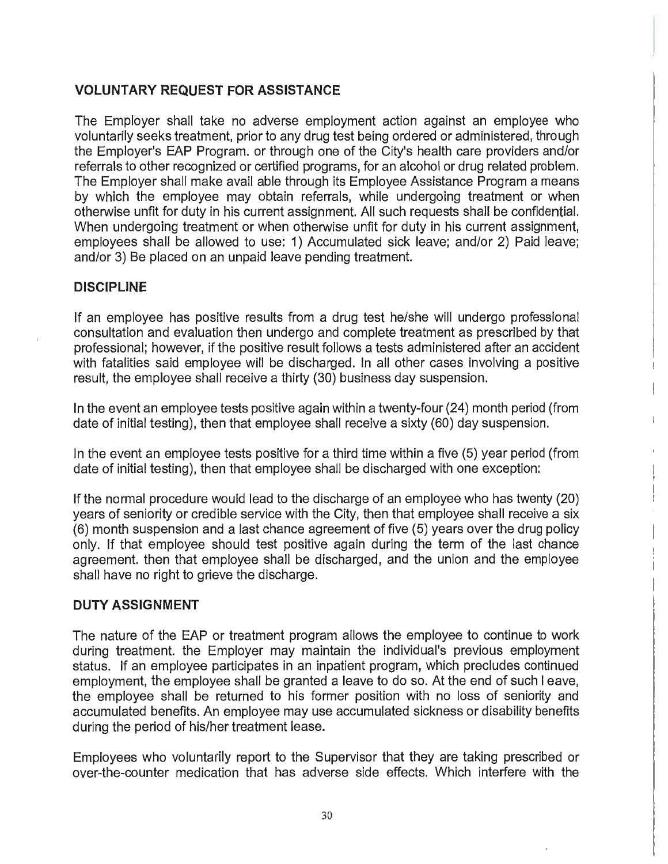# **VOLUNTARY REQUEST FOR ASSISTANCE**

The Employer shall take no adverse employment action against an employee who voluntarily seeks treatment, prior to any drug test being ordered or administered, through the Employer's EAP Program. or through one of the City's health care providers and/or referrals to other recognized or certified programs, for an alcohol or drug related problem. The Employer shall make avail able through its Employee Assistance Program a means by which the employee may obtain referrals, while undergoing treatment or when otherwise unfit for duty in his current assignment. All such requests shall be confidential. When undergoing treatment or when otherwise unfit for duty in his current assignment, employees shall be allowed to use: 1) Accumulated sick leave; and/or 2) Paid leave; and/or 3) Be placed on an unpaid leave pending treatment.

## **DISCIPLINE**

If an employee has positive results from a drug test he/she will undergo professional consultation and evaluation then undergo and complete treatment as prescribed by that professional; however, if the positive result follows a tests administered after an accident with fatalities said employee will be discharged. In all other cases involving a positive result, the employee shall receive a thirty (30) business day suspension.

In the event an employee tests positive again within a twenty-four (24) month period (from date of initial testing), then that employee shall receive a sixty (60) day suspension.

In the event an employee tests positive for a third time within a five (5) year period (from date of initial testing), then that employee shall be discharged with one exception:

If the normal procedure would lead to the discharge of an employee who has twenty (20) years of seniority or credible service with the City, then that employee shall receive a six (6) month suspension and a last chance agreement of five (5) years over the drug policy only. If that employee should test positive again during the term of the last chance agreement. then that employee shall be discharged, and the union and the employee shall have no right to grieve the discharge.

# **DUTY ASSIGNMENT**

The nature of the EAP or treatment program allows the employee to continue to work during treatment. the Employer may maintain the individual's previous employment status. If an employee participates in an inpatient program, which precludes continued employment, the employee shall be granted a leave to do so. At the end of such I eave, the employee shall be returned to his former position with no loss of seniority and accumulated benefits. An employee may use accumulated sickness or disability benefits during the period of his/her treatment lease.

Employees who voluntarily report to the Supervisor that they are taking prescribed or over-the-counter medication that has adverse side effects. Which interfere with the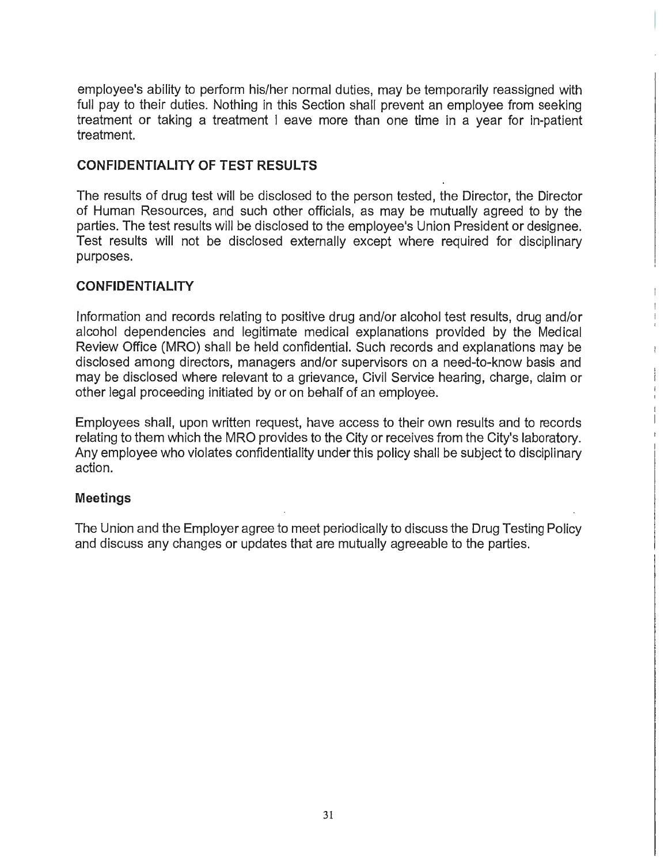employee's ability to perform his/her normal duties, may be temporarily reassigned with full pay to their duties. Nothing in this Section shall prevent an employee from seeking treatment or taking a treatment I eave more than one time in a year for in-patient treatment.

## **CONFIDENTIALITY OF TEST RESULTS**

The results of drug test will be disclosed to the person tested, the Director, the Director of Human Resources, and such other officials, as may be mutually agreed to by the parties. The test results will be disclosed to the employee's Union President or designee. Test results will not be disclosed externally except where required for disciplinary purposes.

### **CONFIDENTIALITY**

Information and records relating to positive drug and/or alcohol test results, drug and/or alcohol dependencies and legitimate medical explanations provided by the Medical Review Office (MRO) shall be held confidential. Such records and explanations may be disclosed among directors, managers and/or supervisors on a need-to-know basis and may be disclosed where relevant to a grievance, Civil Service hearing, charge, claim or other legal proceeding initiated by or on behalf of an employee.

Employees shall, upon written request, have access to their own results and to records relating to them which the MRO provides to the City or receives from the City's laboratory. Any employee who violates confidentiality under this policy shall be subject to disciplinary action.

### **Meetings**

The Union and the Employer agree to meet periodically to discuss the Drug Testing Policy and discuss any changes or updates that are mutually agreeable to the parties.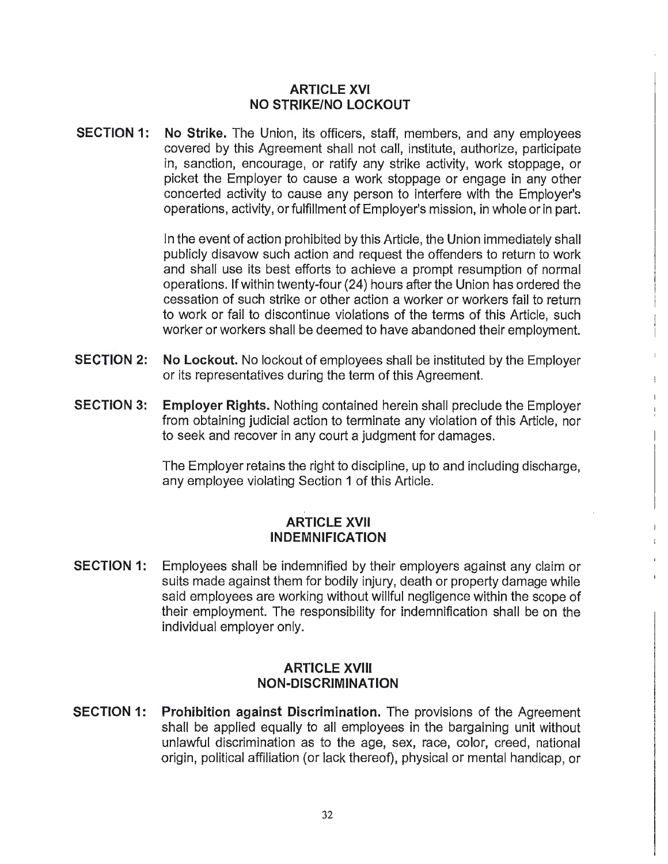## **ARTICLE XVI NO STRIKE/NO LOCKOUT**

**SECTION 1: No Strike.** The Union, its officers, staff, members, and any employees covered by this Agreement shall not call, institute, authorize, participate in, sanction, encourage, or ratify any strike activity, work stoppage, or picket the Employer to cause a work stoppage or engage in any other concerted activity to cause any person to interfere with the Employer's operations, activity, or fulfillment of Employer's mission, in whole or in part.

> In the event of action prohibited by this Article, the Union immediately shall publicly disavow such action and request the offenders to return to work and shall use its best efforts to achieve a prompt resumption of normal operations. If within twenty-four (24) hours after the Union has ordered the cessation of such strike or other action a worker or workers fail to return to work or fail to discontinue violations of the terms of this Article, such worker or workers shall be deemed to have abandoned their employment.

- **SECTION 2: No Lockout.** No lockout of employees shall be instituted by the Employer or its representatives during the term of this Agreement.
- **SECTION 3: Employer Rights.** Nothing contained herein shall preclude the Employer from obtaining judicial action to terminate any violation of this Article, nor to seek and recover in any court a judgment for damages.

The Employer retains the right to discipline, up to and including discharge, any employee violating Section 1 of this Article.

### **ARTICLE XVII INDEMNIFICATION**

**SECTION 1:** Employees shall be indemnified by their employers against any claim or suits made against them for bodily injury, death or property damage while said employees are working without willful negligence within the scope of their employment. The responsibility for indemnification shall be on the individual employer only.

### **ARTICLE XVIII NON-DISCRIMINATION**

**SECTION 1:** Prohibition against Discrimination. The provisions of the Agreement shall be applied equally to all employees in the bargaining unit without unlawful discrimination as to the age, sex, race, color, creed, national origin, political affiliation (or lack thereof), physical or mental handicap, or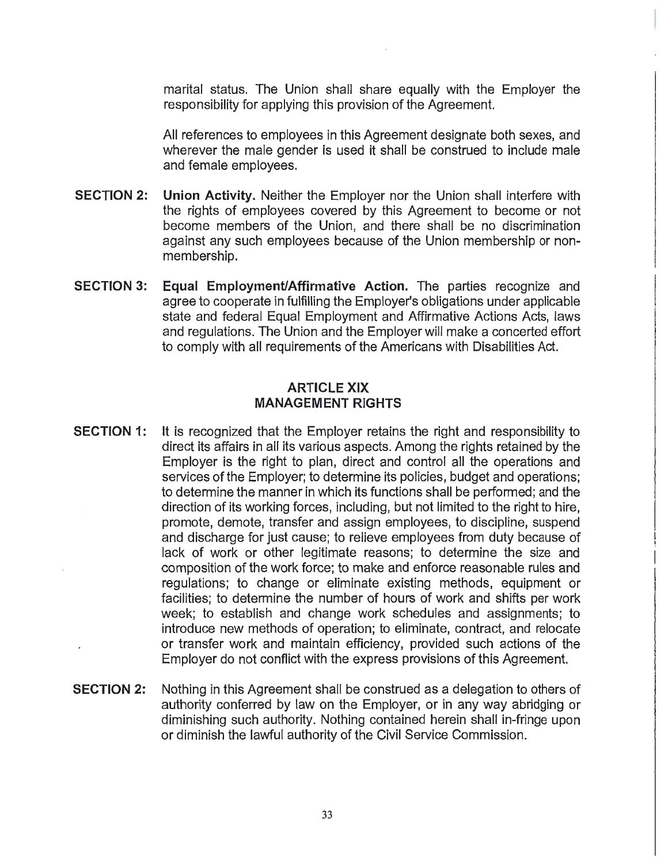marital status. The Union shall share equally with the Employer the responsibility for applying this provision of the Agreement.

All references to employees in this Agreement designate both sexes, and wherever the male gender is used it shall be construed to include male and female employees.

- **SECTION 2: Union Activity.** Neither the Employer nor the Union shall interfere with the rights of employees covered by this Agreement to become or not become members of the Union, and there shall be no discrimination against any such employees because of the Union membership or nonmembership.
- **SECTION 3: Equal Employment/Affirmative Action.** The parties recognize and agree to cooperate in fulfilling the Employer's obligations under applicable state and federal Equal Employment and Affirmative Actions Acts, laws and regulations. The Union and the Employer will make a concerted effort to comply with all requirements of the Americans with Disabilities Act.

### **ARTICLE XIX MANAGEMENT RIGHTS**

- **SECTION 1:** It is recognized that the Employer retains the right and responsibility to direct its affairs in all its various aspects. Among the rights retained by the Employer is the right to plan, direct and control all the operations and services of the Employer; to determine its policies, budget and operations; to determine the manner in which its functions shall be performed; and the direction of its working forces, including, but not limited to the right to hire, promote, demote, transfer and assign employees, to discipline, suspend and discharge for just cause; to relieve employees from duty because of lack of work or other legitimate reasons; to determine the size and composition of the work force; to make and enforce reasonable rules and regulations; to change or eliminate existing methods, equipment or facilities; to determine the number of hours of work and shifts per work week; to establish and change work schedules and assignments; to introduce new methods of operation; to eliminate, contract, and relocate or transfer work and maintain efficiency, provided such actions of the Employer do not conflict with the express provisions of this Agreement.
- **SECTION 2:** Nothing in this Agreement shall be construed as a delegation to others of authority conferred by law on the Employer, or in any way abridging or diminishing such authority. Nothing contained herein shall in-fringe upon or diminish the lawful authority of the Civil Service Commission.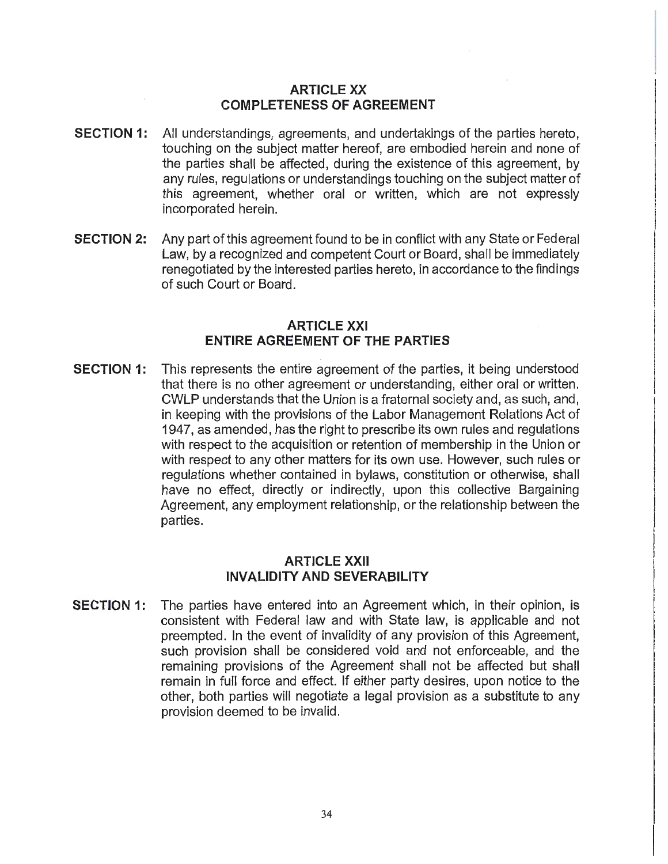### **ARTICLE XX COMPLETENESS OF AGREEMENT**

- **SECTION 1:** All understandings, agreements, and undertakings of the parties hereto, touching on the subject matter hereof, are embodied herein and none of the parties shall be affected, during the existence of this agreement, by any rules, regulations or understandings touching on the subject matter of this agreement, whether oral or written, which are not expressly incorporated herein.
- **SECTION 2:** Any part of this agreement found to be in conflict with any State or Federal Law, by a recognized and competent Court or Board, shall be immediately renegotiated by the interested parties hereto, in accordance to the findings of such Court or Board.

### **ARTICLE XXI ENTIRE AGREEMENT OF THE PARTIES**

**SECTION 1:** This represents the entire agreement of the parties, it being understood that there is no other agreement or understanding, either oral or written. CWLP understands that the Union is a fraternal society and, as such, and, in keeping with the provisions of the Labor Management Relations Act of 1947, as amended, has the right to prescribe its own rules and regulations with respect to the acquisition or retention of membership in the Union or with respect to any other matters for its own use. However, such rules or regulations whether contained in bylaws, constitution or otherwise, shall have no effect, directly or indirectly, upon this collective Bargaining Agreement, any employment relationship, or the relationship between the parties.

### **ARTICLE XXll INVALIDITY AND SEVERABILITY**

**SECTION 1:** The parties have entered into an Agreement which, in their opinion, is consistent with Federal law and with State law, is applicable and not preempted. In the event of invalidity of any provision of this Agreement, such provision shall be considered void and not enforceable, and the remaining provisions of the Agreement shall not be affected but shall remain in full force and effect. If either party desires, upon notice to the other, both parties will negotiate a legal provision as a substitute to any provision deemed to be invalid.